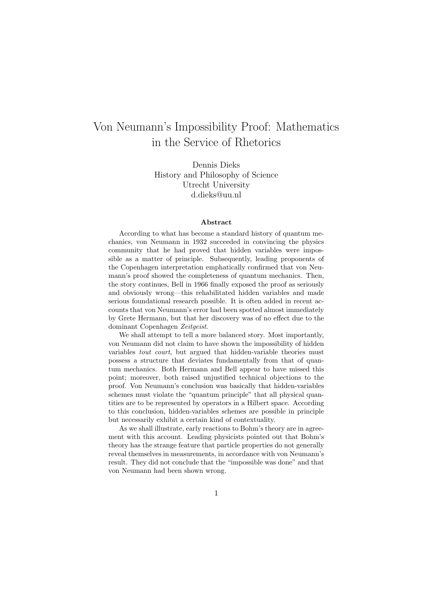# Von Neumann's Impossibility Proof: Mathematics in the Service of Rhetorics

Dennis Dieks History and Philosophy of Science Utrecht University d.dieks@uu.nl

#### Abstract

According to what has become a standard history of quantum mechanics, von Neumann in 1932 succeeded in convincing the physics community that he had proved that hidden variables were impossible as a matter of principle. Subsequently, leading proponents of the Copenhagen interpretation emphatically confirmed that von Neumann's proof showed the completeness of quantum mechanics. Then, the story continues, Bell in 1966 finally exposed the proof as seriously and obviously wrong—this rehabilitated hidden variables and made serious foundational research possible. It is often added in recent accounts that von Neumann's error had been spotted almost immediately by Grete Hermann, but that her discovery was of no effect due to the dominant Copenhagen Zeitgeist.

We shall attempt to tell a more balanced story. Most importantly, von Neumann did not claim to have shown the impossibility of hidden variables tout court, but argued that hidden-variable theories must possess a structure that deviates fundamentally from that of quantum mechanics. Both Hermann and Bell appear to have missed this point; moreover, both raised unjustified technical objections to the proof. Von Neumann's conclusion was basically that hidden-variables schemes must violate the "quantum principle" that all physical quantities are to be represented by operators in a Hilbert space. According to this conclusion, hidden-variables schemes are possible in principle but necessarily exhibit a certain kind of contextuality.

As we shall illustrate, early reactions to Bohm's theory are in agreement with this account. Leading physicists pointed out that Bohm's theory has the strange feature that particle properties do not generally reveal themselves in measurements, in accordance with von Neumann's result. They did not conclude that the "impossible was done" and that von Neumann had been shown wrong.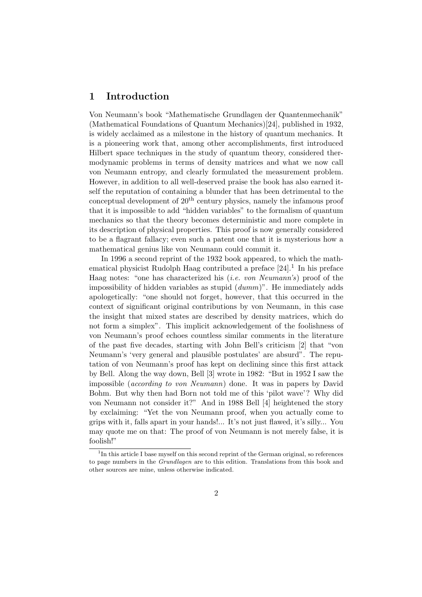### 1 Introduction

Von Neumann's book "Mathematische Grundlagen der Quantenmechanik" (Mathematical Foundations of Quantum Mechanics)[24], published in 1932, is widely acclaimed as a milestone in the history of quantum mechanics. It is a pioneering work that, among other accomplishments, first introduced Hilbert space techniques in the study of quantum theory, considered thermodynamic problems in terms of density matrices and what we now call von Neumann entropy, and clearly formulated the measurement problem. However, in addition to all well-deserved praise the book has also earned itself the reputation of containing a blunder that has been detrimental to the conceptual development of  $20<sup>th</sup>$  century physics, namely the infamous proof that it is impossible to add "hidden variables" to the formalism of quantum mechanics so that the theory becomes deterministic and more complete in its description of physical properties. This proof is now generally considered to be a flagrant fallacy; even such a patent one that it is mysterious how a mathematical genius like von Neumann could commit it.

In 1996 a second reprint of the 1932 book appeared, to which the mathematical physicist Rudolph Haag contributed a preface  $[24]$ .<sup>1</sup> In his preface Haag notes: "one has characterized his (i.e. von Neumann's) proof of the impossibility of hidden variables as stupid (dumm)". He immediately adds apologetically: "one should not forget, however, that this occurred in the context of significant original contributions by von Neumann, in this case the insight that mixed states are described by density matrices, which do not form a simplex". This implicit acknowledgement of the foolishness of von Neumann's proof echoes countless similar comments in the literature of the past five decades, starting with John Bell's criticism [2] that "von Neumann's 'very general and plausible postulates' are absurd". The reputation of von Neumann's proof has kept on declining since this first attack by Bell. Along the way down, Bell [3] wrote in 1982: "But in 1952 I saw the impossible (according to von Neumann) done. It was in papers by David Bohm. But why then had Born not told me of this 'pilot wave'? Why did von Neumann not consider it?" And in 1988 Bell [4] heightened the story by exclaiming: "Yet the von Neumann proof, when you actually come to grips with it, falls apart in your hands!... It's not just flawed, it's silly... You may quote me on that: The proof of von Neumann is not merely false, it is foolish!"

<sup>&</sup>lt;sup>1</sup>In this article I base myself on this second reprint of the German original, so references to page numbers in the Grundlagen are to this edition. Translations from this book and other sources are mine, unless otherwise indicated.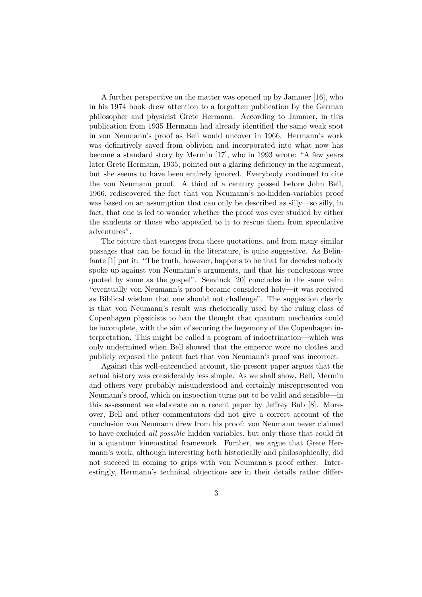A further perspective on the matter was opened up by Jammer [16], who in his 1974 book drew attention to a forgotten publication by the German philosopher and physicist Grete Hermann. According to Jammer, in this publication from 1935 Hermann had already identified the same weak spot in von Neumann's proof as Bell would uncover in 1966. Hermann's work was definitively saved from oblivion and incorporated into what now has become a standard story by Mermin [17], who in 1993 wrote: "A few years later Grete Hermann, 1935, pointed out a glaring deficiency in the argument, but she seems to have been entirely ignored. Everybody continued to cite the von Neumann proof. A third of a century passed before John Bell, 1966, rediscovered the fact that von Neumann's no-hidden-variables proof was based on an assumption that can only be described as silly—so silly, in fact, that one is led to wonder whether the proof was ever studied by either the students or those who appealed to it to rescue them from speculative adventures".

The picture that emerges from these quotations, and from many similar passages that can be found in the literature, is quite suggestive. As Belinfante [1] put it: "The truth, however, happens to be that for decades nobody spoke up against von Neumann's arguments, and that his conclusions were quoted by some as the gospel". Seevinck [20] concludes in the same vein: "eventually von Neumann's proof became considered holy—it was received as Biblical wisdom that one should not challenge". The suggestion clearly is that von Neumann's result was rhetorically used by the ruling class of Copenhagen physicists to ban the thought that quantum mechanics could be incomplete, with the aim of securing the hegemony of the Copenhagen interpretation. This might be called a program of indoctrination—which was only undermined when Bell showed that the emperor wore no clothes and publicly exposed the patent fact that von Neumann's proof was incorrect.

Against this well-entrenched account, the present paper argues that the actual history was considerably less simple. As we shall show, Bell, Mermin and others very probably misunderstood and certainly misrepresented von Neumann's proof, which on inspection turns out to be valid and sensible—in this assessment we elaborate on a recent paper by Jeffrey Bub [8]. Moreover, Bell and other commentators did not give a correct account of the conclusion von Neumann drew from his proof: von Neumann never claimed to have excluded all possible hidden variables, but only those that could fit in a quantum kinematical framework. Further, we argue that Grete Hermann's work, although interesting both historically and philosophically, did not succeed in coming to grips with von Neumann's proof either. Interestingly, Hermann's technical objections are in their details rather differ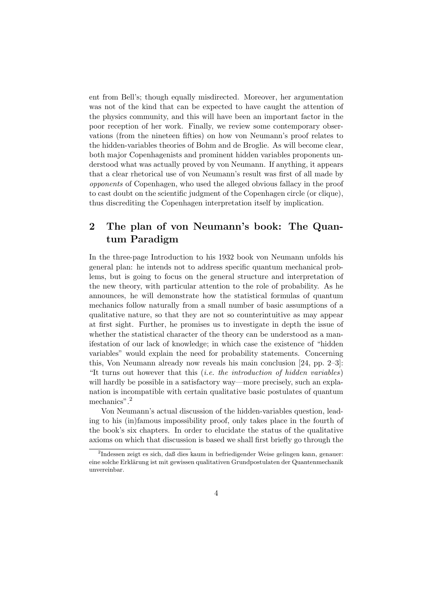ent from Bell's; though equally misdirected. Moreover, her argumentation was not of the kind that can be expected to have caught the attention of the physics community, and this will have been an important factor in the poor reception of her work. Finally, we review some contemporary observations (from the nineteen fifties) on how von Neumann's proof relates to the hidden-variables theories of Bohm and de Broglie. As will become clear, both major Copenhagenists and prominent hidden variables proponents understood what was actually proved by von Neumann. If anything, it appears that a clear rhetorical use of von Neumann's result was first of all made by opponents of Copenhagen, who used the alleged obvious fallacy in the proof to cast doubt on the scientific judgment of the Copenhagen circle (or clique), thus discrediting the Copenhagen interpretation itself by implication.

## 2 The plan of von Neumann's book: The Quantum Paradigm

In the three-page Introduction to his 1932 book von Neumann unfolds his general plan: he intends not to address specific quantum mechanical problems, but is going to focus on the general structure and interpretation of the new theory, with particular attention to the role of probability. As he announces, he will demonstrate how the statistical formulas of quantum mechanics follow naturally from a small number of basic assumptions of a qualitative nature, so that they are not so counterintuitive as may appear at first sight. Further, he promises us to investigate in depth the issue of whether the statistical character of the theory can be understood as a manifestation of our lack of knowledge; in which case the existence of "hidden variables" would explain the need for probability statements. Concerning this, Von Neumann already now reveals his main conclusion [24, pp. 2–3]: "It turns out however that this *(i.e. the introduction of hidden variables)* will hardly be possible in a satisfactory way—more precisely, such an explanation is incompatible with certain qualitative basic postulates of quantum mechanics".<sup>2</sup>

Von Neumann's actual discussion of the hidden-variables question, leading to his (in)famous impossibility proof, only takes place in the fourth of the book's six chapters. In order to elucidate the status of the qualitative axioms on which that discussion is based we shall first briefly go through the

<sup>&</sup>lt;sup>2</sup>Indessen zeigt es sich, daß dies kaum in befriedigender Weise gelingen kann, genauer: eine solche Erklärung ist mit gewissen qualitativen Grundpostulaten der Quantenmechanik unvereinbar.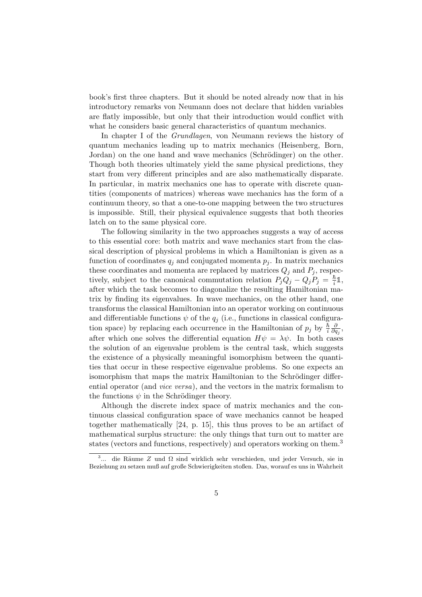book's first three chapters. But it should be noted already now that in his introductory remarks von Neumann does not declare that hidden variables are flatly impossible, but only that their introduction would conflict with what he considers basic general characteristics of quantum mechanics.

In chapter I of the Grundlagen, von Neumann reviews the history of quantum mechanics leading up to matrix mechanics (Heisenberg, Born, Jordan) on the one hand and wave mechanics (Schrödinger) on the other. Though both theories ultimately yield the same physical predictions, they start from very different principles and are also mathematically disparate. In particular, in matrix mechanics one has to operate with discrete quantities (components of matrices) whereas wave mechanics has the form of a continuum theory, so that a one-to-one mapping between the two structures is impossible. Still, their physical equivalence suggests that both theories latch on to the same physical core.

The following similarity in the two approaches suggests a way of access to this essential core: both matrix and wave mechanics start from the classical description of physical problems in which a Hamiltonian is given as a function of coordinates  $q_j$  and conjugated momenta  $p_j$ . In matrix mechanics these coordinates and momenta are replaced by matrices  $Q_j$  and  $P_j$ , respectively, subject to the canonical commutation relation  $P_jQ_j - Q_jP_j = \frac{\hbar}{i}$  $\frac{\hbar}{i}1,$ after which the task becomes to diagonalize the resulting Hamiltonian matrix by finding its eigenvalues. In wave mechanics, on the other hand, one transforms the classical Hamiltonian into an operator working on continuous and differentiable functions  $\psi$  of the  $q_i$  (i.e., functions in classical configuration space) by replacing each occurrence in the Hamiltonian of  $p_j$  by  $\frac{\hbar}{i}$ ∂  $\frac{\partial}{\partial q_j},$ after which one solves the differential equation  $H\psi = \lambda \psi$ . In both cases the solution of an eigenvalue problem is the central task, which suggests the existence of a physically meaningful isomorphism between the quantities that occur in these respective eigenvalue problems. So one expects an isomorphism that maps the matrix Hamiltonian to the Schrödinger differential operator (and vice versa), and the vectors in the matrix formalism to the functions  $\psi$  in the Schrödinger theory.

Although the discrete index space of matrix mechanics and the continuous classical configuration space of wave mechanics cannot be heaped together mathematically [24, p. 15], this thus proves to be an artifact of mathematical surplus structure: the only things that turn out to matter are states (vectors and functions, respectively) and operators working on them.<sup>3</sup>

<sup>&</sup>lt;sup>3</sup>... die Räume Z und Ω sind wirklich sehr verschieden, und jeder Versuch, sie in Beziehung zu setzen muß auf große Schwierigkeiten stoßen. Das, worauf es uns in Wahrheit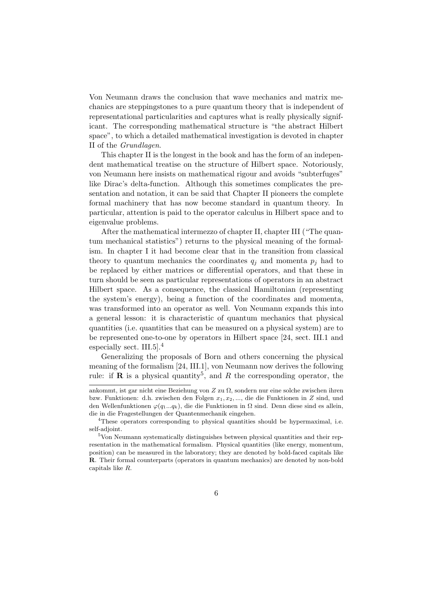Von Neumann draws the conclusion that wave mechanics and matrix mechanics are steppingstones to a pure quantum theory that is independent of representational particularities and captures what is really physically significant. The corresponding mathematical structure is "the abstract Hilbert space", to which a detailed mathematical investigation is devoted in chapter II of the Grundlagen.

This chapter II is the longest in the book and has the form of an independent mathematical treatise on the structure of Hilbert space. Notoriously, von Neumann here insists on mathematical rigour and avoids "subterfuges" like Dirac's delta-function. Although this sometimes complicates the presentation and notation, it can be said that Chapter II pioneers the complete formal machinery that has now become standard in quantum theory. In particular, attention is paid to the operator calculus in Hilbert space and to eigenvalue problems.

After the mathematical intermezzo of chapter II, chapter III ("The quantum mechanical statistics") returns to the physical meaning of the formalism. In chapter I it had become clear that in the transition from classical theory to quantum mechanics the coordinates  $q_i$  and momenta  $p_i$  had to be replaced by either matrices or differential operators, and that these in turn should be seen as particular representations of operators in an abstract Hilbert space. As a consequence, the classical Hamiltonian (representing the system's energy), being a function of the coordinates and momenta, was transformed into an operator as well. Von Neumann expands this into a general lesson: it is characteristic of quantum mechanics that physical quantities (i.e. quantities that can be measured on a physical system) are to be represented one-to-one by operators in Hilbert space [24, sect. III.1 and especially sect. III.5].<sup>4</sup>

Generalizing the proposals of Born and others concerning the physical meaning of the formalism [24, III.1], von Neumann now derives the following rule: if **R** is a physical quantity<sup>5</sup>, and R the corresponding operator, the

ankommt, ist gar nicht eine Beziehung von  $Z$  zu  $\Omega$ , sondern nur eine solche zwischen ihren bzw. Funktionen: d.h. zwischen den Folgen  $x_1, x_2, \ldots$ , die die Funktionen in Z sind, und den Wellenfunktionen  $\varphi(q_1...q_k)$ , die die Funktionen in Ω sind. Denn diese sind es allein, die in die Fragestellungen der Quantenmechanik eingehen.

<sup>&</sup>lt;sup>4</sup>These operators corresponding to physical quantities should be hypermaximal, i.e. self-adjoint.

<sup>5</sup>Von Neumann systematically distinguishes between physical quantities and their representation in the mathematical formalism. Physical quantities (like energy, momentum, position) can be measured in the laboratory; they are denoted by bold-faced capitals like R. Their formal counterparts (operators in quantum mechanics) are denoted by non-bold capitals like R.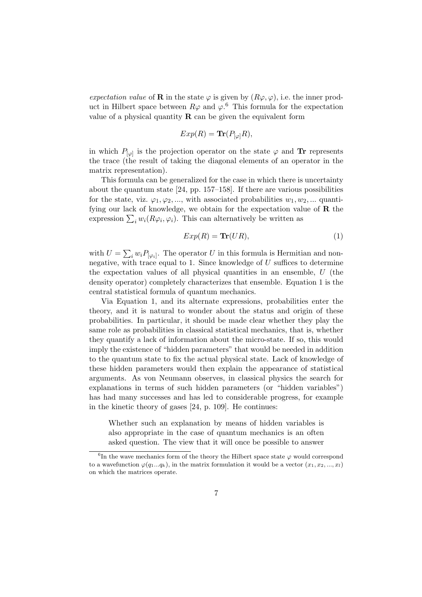expectation value of **R** in the state  $\varphi$  is given by  $(R\varphi, \varphi)$ , i.e. the inner product in Hilbert space between  $R\varphi$  and  $\varphi$ .<sup>6</sup> This formula for the expectation value of a physical quantity  $\bf{R}$  can be given the equivalent form

$$
Exp(R) = \text{Tr}(P_{\lbrack\varphi\rbrack}R),
$$

in which  $P_{[\varphi]}$  is the projection operator on the state  $\varphi$  and **Tr** represents the trace (the result of taking the diagonal elements of an operator in the matrix representation).

This formula can be generalized for the case in which there is uncertainty about the quantum state [24, pp. 157–158]. If there are various possibilities for the state, viz.  $\varphi_1, \varphi_2, \dots$ , with associated probabilities  $w_1, w_2, \dots$  quantifying our lack of knowledge, we obtain for the expectation value of  **the** expression  $\sum_i w_i(R\varphi_i, \varphi_i)$ . This can alternatively be written as

$$
Exp(R) = \mathbf{Tr}(UR),\tag{1}
$$

with  $U = \sum_i w_i P_{[\varphi_i]}$ . The operator U in this formula is Hermitian and nonnegative, with trace equal to 1. Since knowledge of  $U$  suffices to determine the expectation values of all physical quantities in an ensemble, U (the density operator) completely characterizes that ensemble. Equation 1 is the central statistical formula of quantum mechanics.

Via Equation 1, and its alternate expressions, probabilities enter the theory, and it is natural to wonder about the status and origin of these probabilities. In particular, it should be made clear whether they play the same role as probabilities in classical statistical mechanics, that is, whether they quantify a lack of information about the micro-state. If so, this would imply the existence of "hidden parameters" that would be needed in addition to the quantum state to fix the actual physical state. Lack of knowledge of these hidden parameters would then explain the appearance of statistical arguments. As von Neumann observes, in classical physics the search for explanations in terms of such hidden parameters (or "hidden variables") has had many successes and has led to considerable progress, for example in the kinetic theory of gases [24, p. 109]. He continues:

Whether such an explanation by means of hidden variables is also appropriate in the case of quantum mechanics is an often asked question. The view that it will once be possible to answer

<sup>&</sup>lt;sup>6</sup>In the wave mechanics form of the theory the Hilbert space state  $\varphi$  would correspond to a wavefunction  $\varphi(q_1...q_k)$ , in the matrix formulation it would be a vector  $(x_1, x_2, ..., x_l)$ on which the matrices operate.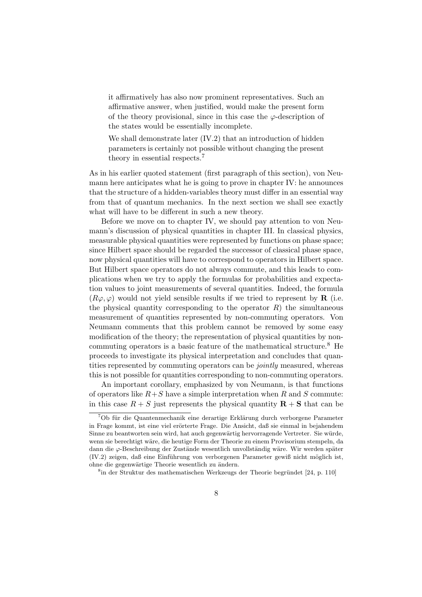it affirmatively has also now prominent representatives. Such an affirmative answer, when justified, would make the present form of the theory provisional, since in this case the  $\varphi$ -description of the states would be essentially incomplete.

We shall demonstrate later  $(IV.2)$  that an introduction of hidden parameters is certainly not possible without changing the present theory in essential respects.<sup>7</sup>

As in his earlier quoted statement (first paragraph of this section), von Neumann here anticipates what he is going to prove in chapter IV: he announces that the structure of a hidden-variables theory must differ in an essential way from that of quantum mechanics. In the next section we shall see exactly what will have to be different in such a new theory.

Before we move on to chapter IV, we should pay attention to von Neumann's discussion of physical quantities in chapter III. In classical physics, measurable physical quantities were represented by functions on phase space; since Hilbert space should be regarded the successor of classical phase space, now physical quantities will have to correspond to operators in Hilbert space. But Hilbert space operators do not always commute, and this leads to complications when we try to apply the formulas for probabilities and expectation values to joint measurements of several quantities. Indeed, the formula  $(R\varphi, \varphi)$  would not yield sensible results if we tried to represent by **R** (i.e. the physical quantity corresponding to the operator  $R$ ) the simultaneous measurement of quantities represented by non-commuting operators. Von Neumann comments that this problem cannot be removed by some easy modification of the theory; the representation of physical quantities by noncommuting operators is a basic feature of the mathematical structure.<sup>8</sup> He proceeds to investigate its physical interpretation and concludes that quantities represented by commuting operators can be jointly measured, whereas this is not possible for quantities corresponding to non-commuting operators.

An important corollary, emphasized by von Neumann, is that functions of operators like  $R+S$  have a simple interpretation when R and S commute: in this case  $R + S$  just represents the physical quantity  $\mathbf{R} + S$  that can be

 $8$ in der Struktur des mathematischen Werkzeugs der Theorie begründet [24, p. 110]

 $^7$ Ob für die Quantenmechanik eine derartige Erklärung durch verborgene Parameter in Frage kommt, ist eine viel erörterte Frage. Die Ansicht, daß sie einmal in bejahendem Sinne zu beantworten sein wird, hat auch gegenwärtig hervorragende Vertreter. Sie würde, wenn sie berechtigt wäre, die heutige Form der Theorie zu einem Provisorium stempeln, da dann die  $\varphi$ -Beschreibung der Zustände wesentlich unvollständig wäre. Wir werden später  $(IV.2)$  zeigen, daß eine Einführung von verborgenen Parameter gewiß nicht möglich ist, ohne die gegenwärtige Theorie wesentlich zu ändern.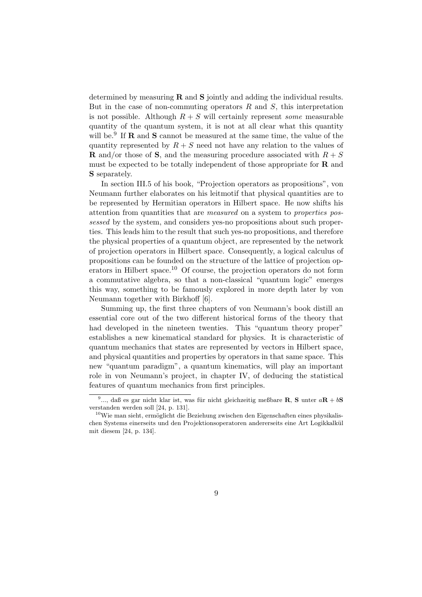determined by measuring  $\bf{R}$  and  $\bf{S}$  jointly and adding the individual results. But in the case of non-commuting operators  $R$  and  $S$ , this interpretation is not possible. Although  $R + S$  will certainly represent *some* measurable quantity of the quantum system, it is not at all clear what this quantity will be.<sup>9</sup> If **R** and **S** cannot be measured at the same time, the value of the quantity represented by  $R + S$  need not have any relation to the values of **R** and/or those of **S**, and the measuring procedure associated with  $R + S$ must be expected to be totally independent of those appropriate for  **and** S separately.

In section III.5 of his book, "Projection operators as propositions", von Neumann further elaborates on his leitmotif that physical quantities are to be represented by Hermitian operators in Hilbert space. He now shifts his attention from quantities that are measured on a system to properties possessed by the system, and considers yes-no propositions about such properties. This leads him to the result that such yes-no propositions, and therefore the physical properties of a quantum object, are represented by the network of projection operators in Hilbert space. Consequently, a logical calculus of propositions can be founded on the structure of the lattice of projection operators in Hilbert space.<sup>10</sup> Of course, the projection operators do not form a commutative algebra, so that a non-classical "quantum logic" emerges this way, something to be famously explored in more depth later by von Neumann together with Birkhoff [6].

Summing up, the first three chapters of von Neumann's book distill an essential core out of the two different historical forms of the theory that had developed in the nineteen twenties. This "quantum theory proper" establishes a new kinematical standard for physics. It is characteristic of quantum mechanics that states are represented by vectors in Hilbert space, and physical quantities and properties by operators in that same space. This new "quantum paradigm", a quantum kinematics, will play an important role in von Neumann's project, in chapter IV, of deducing the statistical features of quantum mechanics from first principles.

<sup>&</sup>lt;sup>9</sup>..., daß es gar nicht klar ist, was für nicht gleichzeitig meßbare **R**, **S** unter  $a\mathbf{R} + b\mathbf{S}$ verstanden werden soll [24, p. 131].

 $^{10}\mathrm{Wi}$  man sieht, ermöglicht die Beziehung zwischen den Eigenschaften eines physikalischen Systems einerseits und den Projektionsoperatoren andererseits eine Art Logikkalkül mit diesem [24, p. 134].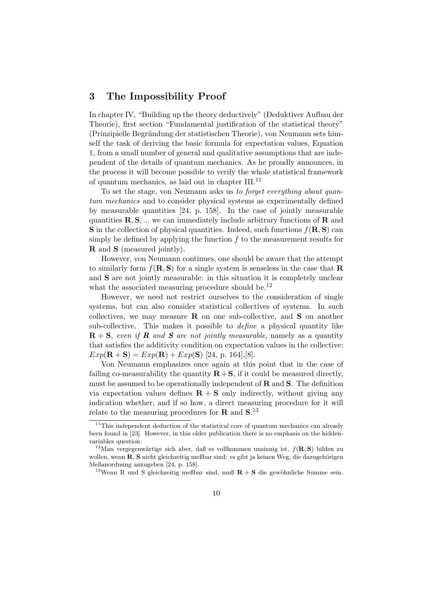#### 3 The Impossibility Proof

In chapter IV, "Building up the theory deductively" (Deduktiver Aufbau der Theorie), first section "Fundamental justification of the statistical theory" (Prinzipielle Begründung der statistischen Theorie), von Neumann sets himself the task of deriving the basic formula for expectation values, Equation 1, from a small number of general and qualitative assumptions that are independent of the details of quantum mechanics. As he proudly announces, in the process it will become possible to verify the whole statistical framework of quantum mechanics, as laid out in chapter III.<sup>11</sup>

To set the stage, von Neumann asks us to forget everything about quantum mechanics and to consider physical systems as experimentally defined by measurable quantities [24, p. 158]. In the case of jointly measurable quantities  $\mathbf{R}, \mathbf{S}, \dots$  we can immediately include arbitrary functions of  $\mathbf{R}$  and **S** in the collection of physical quantities. Indeed, such functions  $f(\mathbf{R}, \mathbf{S})$  can simply be defined by applying the function  $f$  to the measurement results for R and S (measured jointly).

However, von Neumann continues, one should be aware that the attempt to similarly form  $f(R, S)$  for a single system is senseless in the case that **R** and S are not jointly measurable: in this situation it is completely unclear what the associated measuring procedure should be.<sup>12</sup>

However, we need not restrict ourselves to the consideration of single systems, but can also consider statistical collectives of systems. In such collectives, we may measure  $\bf{R}$  on one sub-collective, and  $\bf{S}$  on another sub-collective. This makes it possible to define a physical quantity like  $\mathbf{R} + \mathbf{S}$ , even if **R** and **S** are not jointly measurable, namely as a quantity that satisfies the additivity condition on expectation values in the collective:  $Exp(\mathbf{R} + \mathbf{S}) = Exp(\mathbf{R}) + Exp(\mathbf{S})$  [24, p. 164],[8].

Von Neumann emphasizes once again at this point that in the case of failing co-measurability the quantity  $\mathbf{R} + \mathbf{S}$ , if it could be measured directly, must be assumed to be operationally independent of  **and**  $**S**$ **. The definition** via expectation values defines  $\mathbf{R} + \mathbf{S}$  only indirectly, without giving any indication whether, and if so how, a direct measuring procedure for it will relate to the measuring procedures for **R** and  $S$ .<sup>13</sup>

<sup>&</sup>lt;sup>11</sup>This independent deduction of the statistical core of quantum mechanics can already been found in [23]. However, in this older publication there is no emphasis on the hiddenvariables question.

<sup>&</sup>lt;sup>12</sup>Man vergegenwärtige sich aber, daß es vollkommen unsinnig ist,  $f(\mathbf{R}, \mathbf{S})$  bilden zu wollen, wenn  $\mathbf{R}$ ,  $\mathbf{S}$  nicht gleichzeitig meßbar sind: es gibt ja keinen Weg, die dazugehörigen Meßanordnung anzugeben [24, p. 158].

<sup>&</sup>lt;sup>13</sup>Wenn R und S gleichzeitig meßbar sind, muß  $R + S$  die gewöhnliche Summe sein.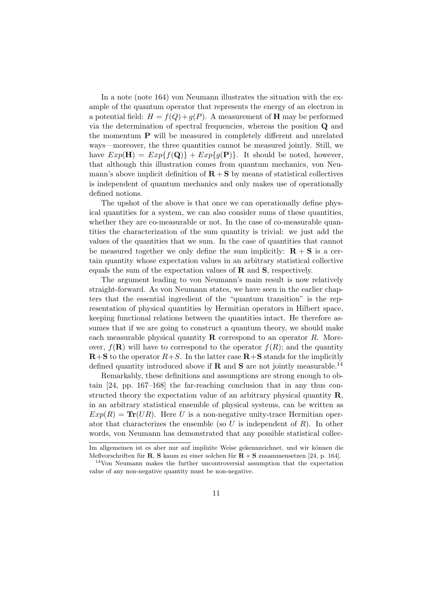In a note (note 164) von Neumann illustrates the situation with the example of the quantum operator that represents the energy of an electron in a potential field:  $H = f(Q) + g(P)$ . A measurement of **H** may be performed via the determination of spectral frequencies, whereas the position Q and the momentum P will be measured in completely different and unrelated ways—moreover, the three quantities cannot be measured jointly. Still, we have  $Exp(\mathbf{H}) = Exp{f(\mathbf{Q})} + Exp{g(\mathbf{P})}$ . It should be noted, however, that although this illustration comes from quantum mechanics, von Neumann's above implicit definition of  $\mathbf{R} + \mathbf{S}$  by means of statistical collectives is independent of quantum mechanics and only makes use of operationally defined notions.

The upshot of the above is that once we can operationally define physical quantities for a system, we can also consider sums of these quantities, whether they are co-measurable or not. In the case of co-measurable quantities the characterization of the sum quantity is trivial: we just add the values of the quantities that we sum. In the case of quantities that cannot be measured together we only define the sum implicitly:  $\mathbf{R} + \mathbf{S}$  is a certain quantity whose expectation values in an arbitrary statistical collective equals the sum of the expectation values of  $\bf{R}$  and  $\bf{S}$ , respectively.

The argument leading to von Neumann's main result is now relatively straight-forward. As von Neumann states, we have seen in the earlier chapters that the essential ingredient of the "quantum transition" is the representation of physical quantities by Hermitian operators in Hilbert space, keeping functional relations between the quantities intact. He therefore assumes that if we are going to construct a quantum theory, we should make each measurable physical quantity **R** correspond to an operator R. Moreover,  $f(\mathbf{R})$  will have to correspond to the operator  $f(R)$ ; and the quantity  $\mathbf{R}+\mathbf{S}$  to the operator  $R+S$ . In the latter case  $\mathbf{R}+\mathbf{S}$  stands for the implicitly defined quantity introduced above if **R** and **S** are not jointly measurable.<sup>14</sup>

Remarkably, these definitions and assumptions are strong enough to obtain [24, pp. 167–168] the far-reaching conclusion that in any thus constructed theory the expectation value of an arbitrary physical quantity R, in an arbitrary statistical ensemble of physical systems, can be written as  $Exp(R) = Tr(UR)$ . Here U is a non-negative unity-trace Hermitian operator that characterizes the ensemble (so U is independent of R). In other words, von Neumann has demonstrated that any possible statistical collec-

Im allgemeinen ist es aber nur auf implizite Weise gekennzeichnet, und wir können die Meßvorschriften für R. S kaum zu einer solchen für  $R + S$  zusammensetzen [24, p. 164].

<sup>14</sup>Von Neumann makes the further uncontroversial assumption that the expectation value of any non-negative quantity must be non-negative.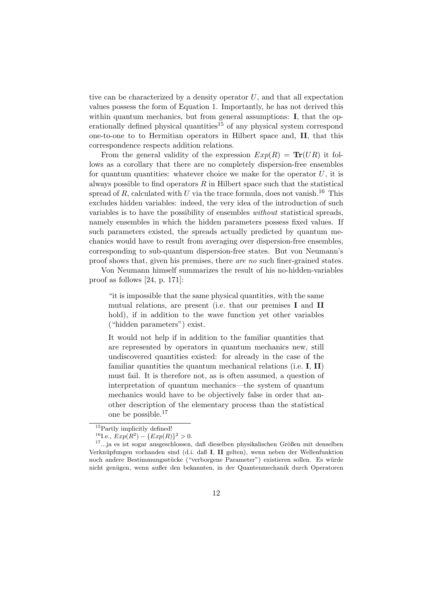tive can be characterized by a density operator  $U$ , and that all expectation values possess the form of Equation 1. Importantly, he has not derived this within quantum mechanics, but from general assumptions: **I**, that the operationally defined physical quantities<sup>15</sup> of any physical system correspond one-to-one to to Hermitian operators in Hilbert space and, II, that this correspondence respects addition relations.

From the general validity of the expression  $Exp(R) = Tr(UR)$  it follows as a corollary that there are no completely dispersion-free ensembles for quantum quantities: whatever choice we make for the operator  $U$ , it is always possible to find operators  $R$  in Hilbert space such that the statistical spread of R, calculated with U via the trace formula, does not vanish.<sup>16</sup> This excludes hidden variables: indeed, the very idea of the introduction of such variables is to have the possibility of ensembles without statistical spreads, namely ensembles in which the hidden parameters possess fixed values. If such parameters existed, the spreads actually predicted by quantum mechanics would have to result from averaging over dispersion-free ensembles, corresponding to sub-quantum dispersion-free states. But von Neumann's proof shows that, given his premises, there are no such finer-grained states.

Von Neumann himself summarizes the result of his no-hidden-variables proof as follows [24, p. 171]:

"it is impossible that the same physical quantities, with the same mutual relations, are present (i.e. that our premises I and II hold), if in addition to the wave function yet other variables ("hidden parameters") exist.

It would not help if in addition to the familiar quantities that are represented by operators in quantum mechanics new, still undiscovered quantities existed: for already in the case of the familiar quantities the quantum mechanical relations (i.e.  $I, II$ ) must fail. It is therefore not, as is often assumed, a question of interpretation of quantum mechanics—the system of quantum mechanics would have to be objectively false in order that another description of the elementary process than the statistical one be possible.<sup>17</sup>

<sup>&</sup>lt;sup>15</sup>Partly implicitly defined!

<sup>&</sup>lt;sup>16</sup>I.e.,  $Exp(R^2) - \{Exp(R)\}^2 > 0$ .

 $17...$ ja es ist sogar ausgeschlossen, daß dieselben physikalischen Größen mit denselben Verknüpfungen vorhanden sind (d.i. daß I, II gelten), wenn neben der Wellenfunktion noch andere Bestimmungsstücke ("verborgene Parameter") existieren sollen. Es würde nicht genügen, wenn außer den bekannten, in der Quantenmechanik durch Operatoren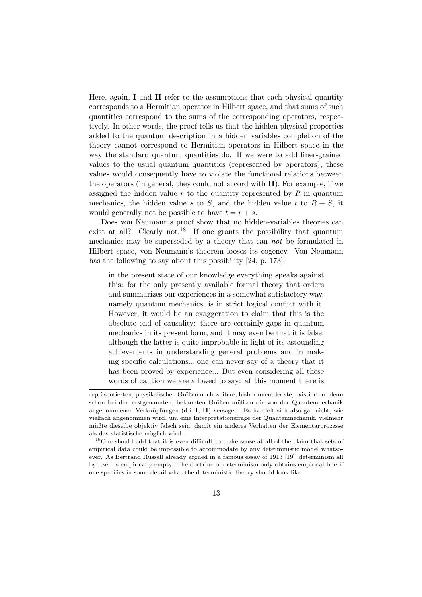Here, again, I and II refer to the assumptions that each physical quantity corresponds to a Hermitian operator in Hilbert space, and that sums of such quantities correspond to the sums of the corresponding operators, respectively. In other words, the proof tells us that the hidden physical properties added to the quantum description in a hidden variables completion of the theory cannot correspond to Hermitian operators in Hilbert space in the way the standard quantum quantities do. If we were to add finer-grained values to the usual quantum quantities (represented by operators), these values would consequently have to violate the functional relations between the operators (in general, they could not accord with II). For example, if we assigned the hidden value  $r$  to the quantity represented by  $R$  in quantum mechanics, the hidden value s to S, and the hidden value t to  $R + S$ , it would generally not be possible to have  $t = r + s$ .

Does von Neumann's proof show that no hidden-variables theories can exist at all? Clearly not.<sup>18</sup> If one grants the possibility that quantum mechanics may be superseded by a theory that can not be formulated in Hilbert space, von Neumann's theorem looses its cogency. Von Neumann has the following to say about this possibility [24, p. 173]:

in the present state of our knowledge everything speaks against this: for the only presently available formal theory that orders and summarizes our experiences in a somewhat satisfactory way, namely quantum mechanics, is in strict logical conflict with it. However, it would be an exaggeration to claim that this is the absolute end of causality: there are certainly gaps in quantum mechanics in its present form, and it may even be that it is false, although the latter is quite improbable in light of its astounding achievements in understanding general problems and in making specific calculations....one can never say of a theory that it has been proved by experience... But even considering all these words of caution we are allowed to say: at this moment there is

repräsentierten, physikalischen Größen noch weitere, bisher unentdeckte, existierten: denn schon bei den erstgenannten, bekannten Größen müßten die von der Quantenmechanik angenommenen Verknüpfungen (d.i. I, II) versagen. Es handelt sich also gar nicht, wie vielfach angenommen wird, um eine Interpretationsfrage der Quantenmechanik, vielmehr müßte dieselbe objektiv falsch sein, damit ein anderes Verhalten der Elementarprozesse als das statistische möglich wird.

<sup>18</sup>One should add that it is even difficult to make sense at all of the claim that sets of empirical data could be impossible to accommodate by any deterministic model whatsoever. As Bertrand Russell already argued in a famous essay of 1913 [19], determinism all by itself is empirically empty. The doctrine of determinism only obtains empirical bite if one specifies in some detail what the deterministic theory should look like.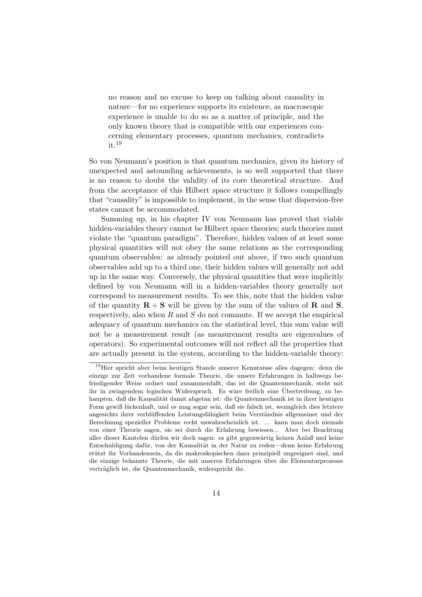no reason and no excuse to keep on talking about causality in nature—for no experience supports its existence, as macroscopic experience is unable to do so as a matter of principle, and the only known theory that is compatible with our experiences concerning elementary processes, quantum mechanics, contradicts it.<sup>19</sup>

So von Neumann's position is that quantum mechanics, given its history of unexpected and astounding achievements, is so well supported that there is no reason to doubt the validity of its core theoretical structure. And from the acceptance of this Hilbert space structure it follows compellingly that "causality" is impossible to implement, in the sense that dispersion-free states cannot be accommodated.

Summing up, in his chapter IV von Neumann has proved that viable hidden-variables theory cannot be Hilbert space theories; such theories must violate the "quantum paradigm". Therefore, hidden values of at least some physical quantities will not obey the same relations as the corresponding quantum observables: as already pointed out above, if two such quantum observables add up to a third one, their hidden values will generally not add up in the same way. Conversely, the physical quantities that were implicitly defined by von Neumann will in a hidden-variables theory generally not correspond to measurement results. To see this, note that the hidden value of the quantity  $\mathbf{R} + \mathbf{S}$  will be given by the sum of the values of **R** and **S**, respectively, also when  $R$  and  $S$  do not commute. If we accept the empirical adequacy of quantum mechanics on the statistical level, this sum value will not be a measurement result (as measurement results are eigenvalues of operators). So experimental outcomes will not reflect all the properties that are actually present in the system, according to the hidden-variable theory:

<sup>19</sup>Hier spricht aber beim heutigen Stande unserer Kenntnisse alles dagegen: denn die einzige zur Zeit vorhandene formale Theorie, die unsere Erfahrungen in halbwegs befriedigender Weise ordnet und zusammenfaßt, das ist die Quantenmechanik, steht mit ihr in zwingendem logischen Widerspruch. Es wäre freilich eine Übertreibung, zu behaupten, daß die Kausalität damit abgetan ist: die Quantenmechanik ist in ihrer heutigen Form gewiß lückenhaft, und es mag sogar sein, daß sie falsch ist, wenngleich dies letztere angesichts ihrer verblüffenden Leistungsfähigkeit beim Verständnis allgemeiner und der Berechnung spezieller Probleme recht unwahrscheinlich ist. ... kann man doch niemals von einer Theorie sagen, sie sei durch die Erfahrung bewiesen... Aber bei Beachtung aller dieser Kautelen dürfen wir doch sagen: es gibt gegenwärtig keinen Anlaß und keine Entschuldigung dafür, von der Kausalität in der Natur zu reden—denn keine Erfahrung stützt ihr Vorhandensein, da die makroskopischen dazu prinzipiell ungeeignet sind, und die einzige bekannte Theorie, die mit unseren Erfahrungen über die Elementarprozesse verträglich ist, die Quantenmechanik, widerspricht ihr.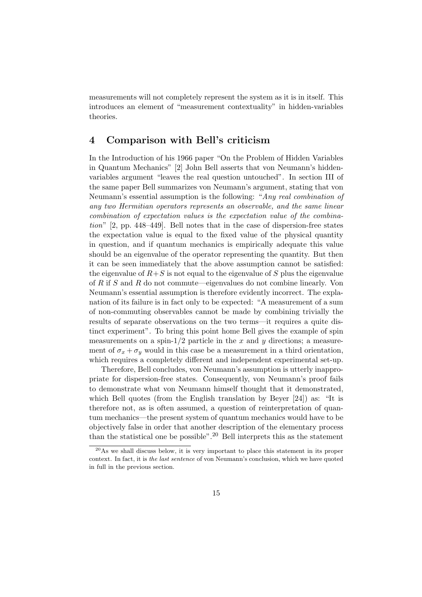measurements will not completely represent the system as it is in itself. This introduces an element of "measurement contextuality" in hidden-variables theories.

#### 4 Comparison with Bell's criticism

In the Introduction of his 1966 paper "On the Problem of Hidden Variables in Quantum Mechanics" [2] John Bell asserts that von Neumann's hiddenvariables argument "leaves the real question untouched". In section III of the same paper Bell summarizes von Neumann's argument, stating that von Neumann's essential assumption is the following: "Any real combination of any two Hermitian operators represents an observable, and the same linear combination of expectation values is the expectation value of the combination" [2, pp. 448–449]. Bell notes that in the case of dispersion-free states the expectation value is equal to the fixed value of the physical quantity in question, and if quantum mechanics is empirically adequate this value should be an eigenvalue of the operator representing the quantity. But then it can be seen immediately that the above assumption cannot be satisfied: the eigenvalue of  $R+S$  is not equal to the eigenvalue of S plus the eigenvalue of R if S and R do not commute—eigenvalues do not combine linearly. Von Neumann's essential assumption is therefore evidently incorrect. The explanation of its failure is in fact only to be expected: "A measurement of a sum of non-commuting observables cannot be made by combining trivially the results of separate observations on the two terms—it requires a quite distinct experiment". To bring this point home Bell gives the example of spin measurements on a spin- $1/2$  particle in the x and y directions; a measurement of  $\sigma_x + \sigma_y$  would in this case be a measurement in a third orientation, which requires a completely different and independent experimental set-up.

Therefore, Bell concludes, von Neumann's assumption is utterly inappropriate for dispersion-free states. Consequently, von Neumann's proof fails to demonstrate what von Neumann himself thought that it demonstrated, which Bell quotes (from the English translation by Beyer [24]) as: "It is therefore not, as is often assumed, a question of reinterpretation of quantum mechanics—the present system of quantum mechanics would have to be objectively false in order that another description of the elementary process than the statistical one be possible".<sup>20</sup> Bell interprets this as the statement

<sup>20</sup>As we shall discuss below, it is very important to place this statement in its proper context. In fact, it is the last sentence of von Neumann's conclusion, which we have quoted in full in the previous section.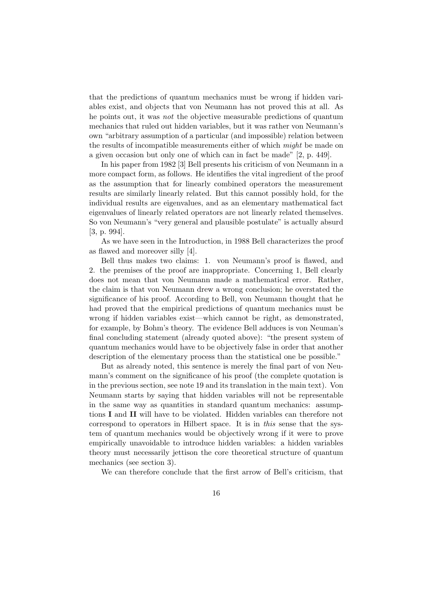that the predictions of quantum mechanics must be wrong if hidden variables exist, and objects that von Neumann has not proved this at all. As he points out, it was not the objective measurable predictions of quantum mechanics that ruled out hidden variables, but it was rather von Neumann's own "arbitrary assumption of a particular (and impossible) relation between the results of incompatible measurements either of which might be made on a given occasion but only one of which can in fact be made" [2, p. 449].

In his paper from 1982 [3] Bell presents his criticism of von Neumann in a more compact form, as follows. He identifies the vital ingredient of the proof as the assumption that for linearly combined operators the measurement results are similarly linearly related. But this cannot possibly hold, for the individual results are eigenvalues, and as an elementary mathematical fact eigenvalues of linearly related operators are not linearly related themselves. So von Neumann's "very general and plausible postulate" is actually absurd [3, p. 994].

As we have seen in the Introduction, in 1988 Bell characterizes the proof as flawed and moreover silly [4].

Bell thus makes two claims: 1. von Neumann's proof is flawed, and 2. the premises of the proof are inappropriate. Concerning 1, Bell clearly does not mean that von Neumann made a mathematical error. Rather, the claim is that von Neumann drew a wrong conclusion; he overstated the significance of his proof. According to Bell, von Neumann thought that he had proved that the empirical predictions of quantum mechanics must be wrong if hidden variables exist—which cannot be right, as demonstrated, for example, by Bohm's theory. The evidence Bell adduces is von Neuman's final concluding statement (already quoted above): "the present system of quantum mechanics would have to be objectively false in order that another description of the elementary process than the statistical one be possible."

But as already noted, this sentence is merely the final part of von Neumann's comment on the significance of his proof (the complete quotation is in the previous section, see note 19 and its translation in the main text). Von Neumann starts by saying that hidden variables will not be representable in the same way as quantities in standard quantum mechanics: assumptions I and II will have to be violated. Hidden variables can therefore not correspond to operators in Hilbert space. It is in this sense that the system of quantum mechanics would be objectively wrong if it were to prove empirically unavoidable to introduce hidden variables: a hidden variables theory must necessarily jettison the core theoretical structure of quantum mechanics (see section 3).

We can therefore conclude that the first arrow of Bell's criticism, that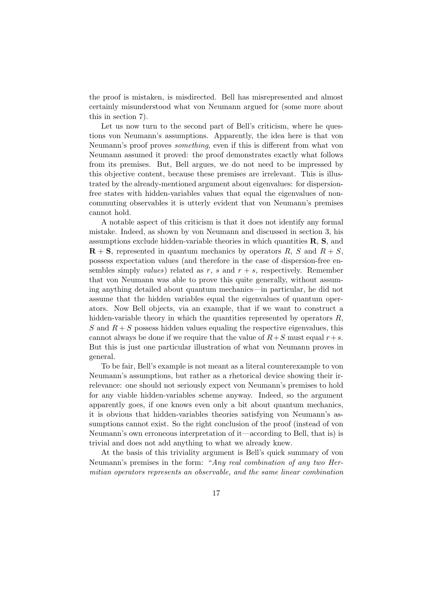the proof is mistaken, is misdirected. Bell has misrepresented and almost certainly misunderstood what von Neumann argued for (some more about this in section 7).

Let us now turn to the second part of Bell's criticism, where he questions von Neumann's assumptions. Apparently, the idea here is that von Neumann's proof proves something, even if this is different from what von Neumann assumed it proved: the proof demonstrates exactly what follows from its premises. But, Bell argues, we do not need to be impressed by this objective content, because these premises are irrelevant. This is illustrated by the already-mentioned argument about eigenvalues: for dispersionfree states with hidden-variables values that equal the eigenvalues of noncommuting observables it is utterly evident that von Neumann's premises cannot hold.

A notable aspect of this criticism is that it does not identify any formal mistake. Indeed, as shown by von Neumann and discussed in section 3, his assumptions exclude hidden-variable theories in which quantities  $\mathbf{R}, \mathbf{S},$  and  $\mathbf{R} + \mathbf{S}$ , represented in quantum mechanics by operators R, S and  $R + S$ , possess expectation values (and therefore in the case of dispersion-free ensembles simply values) related as r, s and  $r + s$ , respectively. Remember that von Neumann was able to prove this quite generally, without assuming anything detailed about quantum mechanics—in particular, he did not assume that the hidden variables equal the eigenvalues of quantum operators. Now Bell objects, via an example, that if we want to construct a hidden-variable theory in which the quantities represented by operators  $R$ , S and  $R + S$  possess hidden values equaling the respective eigenvalues, this cannot always be done if we require that the value of  $R+S$  must equal  $r+s$ . But this is just one particular illustration of what von Neumann proves in general.

To be fair, Bell's example is not meant as a literal counterexample to von Neumann's assumptions, but rather as a rhetorical device showing their irrelevance: one should not seriously expect von Neumann's premises to hold for any viable hidden-variables scheme anyway. Indeed, so the argument apparently goes, if one knows even only a bit about quantum mechanics, it is obvious that hidden-variables theories satisfying von Neumann's assumptions cannot exist. So the right conclusion of the proof (instead of von Neumann's own erroneous interpretation of it—according to Bell, that is) is trivial and does not add anything to what we already knew.

At the basis of this triviality argument is Bell's quick summary of von Neumann's premises in the form: "Any real combination of any two Hermitian operators represents an observable, and the same linear combination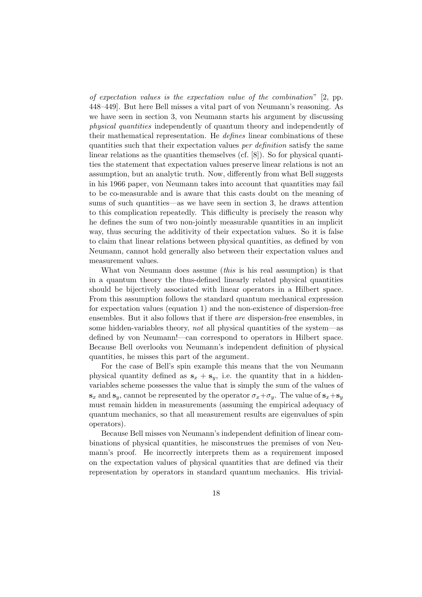of expectation values is the expectation value of the combination"  $[2, pp.$ 448–449]. But here Bell misses a vital part of von Neumann's reasoning. As we have seen in section 3, von Neumann starts his argument by discussing physical quantities independently of quantum theory and independently of their mathematical representation. He defines linear combinations of these quantities such that their expectation values per definition satisfy the same linear relations as the quantities themselves (cf.  $[8]$ ). So for physical quantities the statement that expectation values preserve linear relations is not an assumption, but an analytic truth. Now, differently from what Bell suggests in his 1966 paper, von Neumann takes into account that quantities may fail to be co-measurable and is aware that this casts doubt on the meaning of sums of such quantities—as we have seen in section 3, he draws attention to this complication repeatedly. This difficulty is precisely the reason why he defines the sum of two non-jointly measurable quantities in an implicit way, thus securing the additivity of their expectation values. So it is false to claim that linear relations between physical quantities, as defined by von Neumann, cannot hold generally also between their expectation values and measurement values.

What von Neumann does assume *(this* is his real assumption) is that in a quantum theory the thus-defined linearly related physical quantities should be bijectively associated with linear operators in a Hilbert space. From this assumption follows the standard quantum mechanical expression for expectation values (equation 1) and the non-existence of dispersion-free ensembles. But it also follows that if there are dispersion-free ensembles, in some hidden-variables theory, not all physical quantities of the system—as defined by von Neumann!—can correspond to operators in Hilbert space. Because Bell overlooks von Neumann's independent definition of physical quantities, he misses this part of the argument.

For the case of Bell's spin example this means that the von Neumann physical quantity defined as  $s_x + s_y$ , i.e. the quantity that in a hiddenvariables scheme possesses the value that is simply the sum of the values of  $\mathbf{s}_x$  and  $\mathbf{s}_y$ , cannot be represented by the operator  $\sigma_x + \sigma_y$ . The value of  $\mathbf{s}_x + \mathbf{s}_y$ must remain hidden in measurements (assuming the empirical adequacy of quantum mechanics, so that all measurement results are eigenvalues of spin operators).

Because Bell misses von Neumann's independent definition of linear combinations of physical quantities, he misconstrues the premises of von Neumann's proof. He incorrectly interprets them as a requirement imposed on the expectation values of physical quantities that are defined via their representation by operators in standard quantum mechanics. His trivial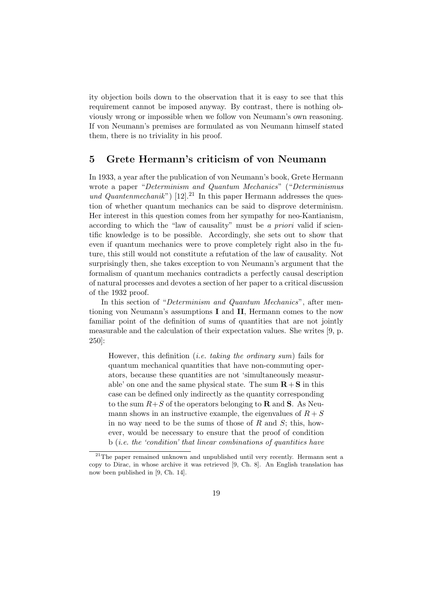ity objection boils down to the observation that it is easy to see that this requirement cannot be imposed anyway. By contrast, there is nothing obviously wrong or impossible when we follow von Neumann's own reasoning. If von Neumann's premises are formulated as von Neumann himself stated them, there is no triviality in his proof.

#### 5 Grete Hermann's criticism of von Neumann

In 1933, a year after the publication of von Neumann's book, Grete Hermann wrote a paper "Determinism and Quantum Mechanics" ("Determinismus und Quantenmechanik") [12].<sup>21</sup> In this paper Hermann addresses the question of whether quantum mechanics can be said to disprove determinism. Her interest in this question comes from her sympathy for neo-Kantianism, according to which the "law of causality" must be a priori valid if scientific knowledge is to be possible. Accordingly, she sets out to show that even if quantum mechanics were to prove completely right also in the future, this still would not constitute a refutation of the law of causality. Not surprisingly then, she takes exception to von Neumann's argument that the formalism of quantum mechanics contradicts a perfectly causal description of natural processes and devotes a section of her paper to a critical discussion of the 1932 proof.

In this section of "Determinism and Quantum Mechanics", after mentioning von Neumann's assumptions I and II, Hermann comes to the now familiar point of the definition of sums of quantities that are not jointly measurable and the calculation of their expectation values. She writes [9, p. 250]:

However, this definition (i.e. taking the ordinary sum) fails for quantum mechanical quantities that have non-commuting operators, because these quantities are not 'simultaneously measurable' on one and the same physical state. The sum  $\mathbf{R} + \mathbf{S}$  in this case can be defined only indirectly as the quantity corresponding to the sum  $R+S$  of the operators belonging to **R** and **S**. As Neumann shows in an instructive example, the eigenvalues of  $R + S$ in no way need to be the sums of those of  $R$  and  $S$ ; this, however, would be necessary to ensure that the proof of condition b (i.e. the 'condition' that linear combinations of quantities have

 $21$ The paper remained unknown and unpublished until very recently. Hermann sent a copy to Dirac, in whose archive it was retrieved [9, Ch. 8]. An English translation has now been published in [9, Ch. 14].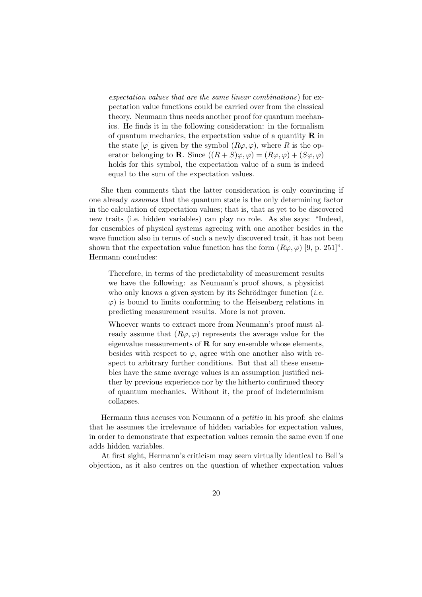expectation values that are the same linear combinations) for expectation value functions could be carried over from the classical theory. Neumann thus needs another proof for quantum mechanics. He finds it in the following consideration: in the formalism of quantum mechanics, the expectation value of a quantity  $\bf{R}$  in the state  $[\varphi]$  is given by the symbol  $(R\varphi, \varphi)$ , where R is the operator belonging to **R**. Since  $((R + S)\varphi, \varphi) = (R\varphi, \varphi) + (S\varphi, \varphi)$ holds for this symbol, the expectation value of a sum is indeed equal to the sum of the expectation values.

She then comments that the latter consideration is only convincing if one already assumes that the quantum state is the only determining factor in the calculation of expectation values; that is, that as yet to be discovered new traits (i.e. hidden variables) can play no role. As she says: "Indeed, for ensembles of physical systems agreeing with one another besides in the wave function also in terms of such a newly discovered trait, it has not been shown that the expectation value function has the form  $(R\varphi, \varphi)$  [9, p. 251]". Hermann concludes:

Therefore, in terms of the predictability of measurement results we have the following: as Neumann's proof shows, a physicist who only knows a given system by its Schrödinger function (*i.e.*  $\varphi$ ) is bound to limits conforming to the Heisenberg relations in predicting measurement results. More is not proven.

Whoever wants to extract more from Neumann's proof must already assume that  $(R\varphi, \varphi)$  represents the average value for the eigenvalue measurements of  **for any ensemble whose elements,** besides with respect to  $\varphi$ , agree with one another also with respect to arbitrary further conditions. But that all these ensembles have the same average values is an assumption justified neither by previous experience nor by the hitherto confirmed theory of quantum mechanics. Without it, the proof of indeterminism collapses.

Hermann thus accuses von Neumann of a petitio in his proof: she claims that he assumes the irrelevance of hidden variables for expectation values, in order to demonstrate that expectation values remain the same even if one adds hidden variables.

At first sight, Hermann's criticism may seem virtually identical to Bell's objection, as it also centres on the question of whether expectation values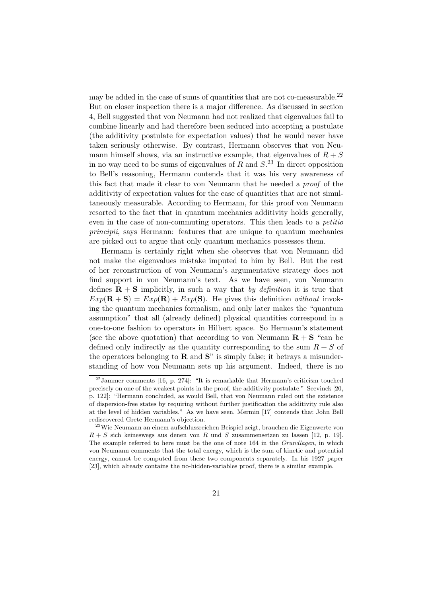may be added in the case of sums of quantities that are not co-measurable.<sup>22</sup> But on closer inspection there is a major difference. As discussed in section 4, Bell suggested that von Neumann had not realized that eigenvalues fail to combine linearly and had therefore been seduced into accepting a postulate (the additivity postulate for expectation values) that he would never have taken seriously otherwise. By contrast, Hermann observes that von Neumann himself shows, via an instructive example, that eigenvalues of  $R + S$ in no way need to be sums of eigenvalues of  $R$  and  $S^{23}$ . In direct opposition to Bell's reasoning, Hermann contends that it was his very awareness of this fact that made it clear to von Neumann that he needed a proof of the additivity of expectation values for the case of quantities that are not simultaneously measurable. According to Hermann, for this proof von Neumann resorted to the fact that in quantum mechanics additivity holds generally, even in the case of non-commuting operators. This then leads to a petitio principii, says Hermann: features that are unique to quantum mechanics are picked out to argue that only quantum mechanics possesses them.

Hermann is certainly right when she observes that von Neumann did not make the eigenvalues mistake imputed to him by Bell. But the rest of her reconstruction of von Neumann's argumentative strategy does not find support in von Neumann's text. As we have seen, von Neumann defines  $\mathbf{R} + \mathbf{S}$  implicitly, in such a way that by definition it is true that  $Exp(\mathbf{R} + \mathbf{S}) = Exp(\mathbf{R}) + Exp(\mathbf{S})$ . He gives this definition without invoking the quantum mechanics formalism, and only later makes the "quantum assumption" that all (already defined) physical quantities correspond in a one-to-one fashion to operators in Hilbert space. So Hermann's statement (see the above quotation) that according to von Neumann  $\mathbf{R} + \mathbf{S}$  "can be defined only indirectly as the quantity corresponding to the sum  $R + S$  of the operators belonging to  $\bf{R}$  and  $\bf{S}$ " is simply false; it betrays a misunderstanding of how von Neumann sets up his argument. Indeed, there is no

 $22$ Jammer comments [16, p. 274]: "It is remarkable that Hermann's criticism touched precisely on one of the weakest points in the proof, the additivity postulate." Seevinck [20, p. 122]: "Hermann concluded, as would Bell, that von Neumann ruled out the existence of dispersion-free states by requiring without further justification the additivity rule also at the level of hidden variables." As we have seen, Mermin [17] contends that John Bell rediscovered Grete Hermann's objection.

<sup>&</sup>lt;sup>23</sup>Wie Neumann an einem aufschlussreichen Beispiel zeigt, brauchen die Eigenwerte von  $R + S$  sich keineswegs aus denen von R und S zusammensetzen zu lassen [12, p. 19]. The example referred to here must be the one of note 164 in the Grundlagen, in which von Neumann comments that the total energy, which is the sum of kinetic and potential energy, cannot be computed from these two components separately. In his 1927 paper [23], which already contains the no-hidden-variables proof, there is a similar example.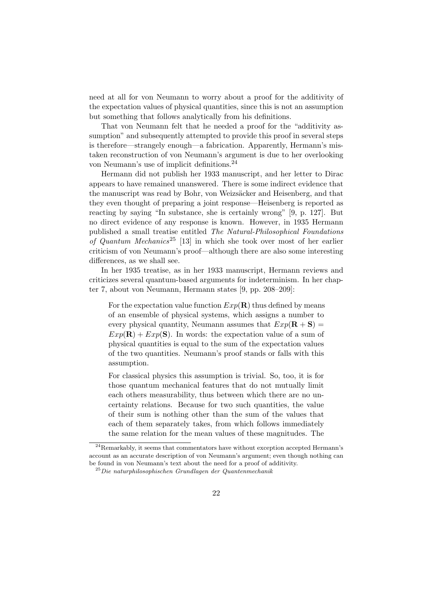need at all for von Neumann to worry about a proof for the additivity of the expectation values of physical quantities, since this is not an assumption but something that follows analytically from his definitions.

That von Neumann felt that he needed a proof for the "additivity assumption" and subsequently attempted to provide this proof in several steps is therefore—strangely enough—a fabrication. Apparently, Hermann's mistaken reconstruction of von Neumann's argument is due to her overlooking von Neumann's use of implicit definitions.<sup>24</sup>

Hermann did not publish her 1933 manuscript, and her letter to Dirac appears to have remained unanswered. There is some indirect evidence that the manuscript was read by Bohr, von Weizsäcker and Heisenberg, and that they even thought of preparing a joint response—Heisenberg is reported as reacting by saying "In substance, she is certainly wrong" [9, p. 127]. But no direct evidence of any response is known. However, in 1935 Hermann published a small treatise entitled The Natural-Philosophical Foundations of Quantum Mechanics<sup>25</sup> [13] in which she took over most of her earlier criticism of von Neumann's proof—although there are also some interesting differences, as we shall see.

In her 1935 treatise, as in her 1933 manuscript, Hermann reviews and criticizes several quantum-based arguments for indeterminism. In her chapter 7, about von Neumann, Hermann states [9, pp. 208–209]:

For the expectation value function  $Exp(R)$  thus defined by means of an ensemble of physical systems, which assigns a number to every physical quantity, Neumann assumes that  $Exp(R + S)$  =  $Exp(\mathbf{R}) + Exp(\mathbf{S})$ . In words: the expectation value of a sum of physical quantities is equal to the sum of the expectation values of the two quantities. Neumann's proof stands or falls with this assumption.

For classical physics this assumption is trivial. So, too, it is for those quantum mechanical features that do not mutually limit each others measurability, thus between which there are no uncertainty relations. Because for two such quantities, the value of their sum is nothing other than the sum of the values that each of them separately takes, from which follows immediately the same relation for the mean values of these magnitudes. The

<sup>24</sup>Remarkably, it seems that commentators have without exception accepted Hermann's account as an accurate description of von Neumann's argument; even though nothing can be found in von Neumann's text about the need for a proof of additivity.

 $^{25}$ Die naturphilosophischen Grundlagen der Quantenmechanik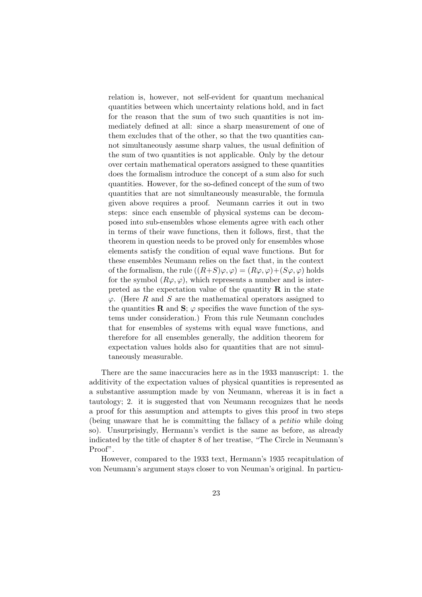relation is, however, not self-evident for quantum mechanical quantities between which uncertainty relations hold, and in fact for the reason that the sum of two such quantities is not immediately defined at all: since a sharp measurement of one of them excludes that of the other, so that the two quantities cannot simultaneously assume sharp values, the usual definition of the sum of two quantities is not applicable. Only by the detour over certain mathematical operators assigned to these quantities does the formalism introduce the concept of a sum also for such quantities. However, for the so-defined concept of the sum of two quantities that are not simultaneously measurable, the formula given above requires a proof. Neumann carries it out in two steps: since each ensemble of physical systems can be decomposed into sub-ensembles whose elements agree with each other in terms of their wave functions, then it follows, first, that the theorem in question needs to be proved only for ensembles whose elements satisfy the condition of equal wave functions. But for these ensembles Neumann relies on the fact that, in the context of the formalism, the rule  $((R+S)\varphi, \varphi) = (R\varphi, \varphi) + (S\varphi, \varphi)$  holds for the symbol  $(R\varphi, \varphi)$ , which represents a number and is interpreted as the expectation value of the quantity  $\bf{R}$  in the state  $\varphi$ . (Here R and S are the mathematical operators assigned to the quantities **R** and **S**;  $\varphi$  specifies the wave function of the systems under consideration.) From this rule Neumann concludes that for ensembles of systems with equal wave functions, and therefore for all ensembles generally, the addition theorem for expectation values holds also for quantities that are not simultaneously measurable.

There are the same inaccuracies here as in the 1933 manuscript: 1. the additivity of the expectation values of physical quantities is represented as a substantive assumption made by von Neumann, whereas it is in fact a tautology; 2. it is suggested that von Neumann recognizes that he needs a proof for this assumption and attempts to gives this proof in two steps (being unaware that he is committing the fallacy of a petitio while doing so). Unsurprisingly, Hermann's verdict is the same as before, as already indicated by the title of chapter 8 of her treatise, "The Circle in Neumann's Proof".

However, compared to the 1933 text, Hermann's 1935 recapitulation of von Neumann's argument stays closer to von Neuman's original. In particu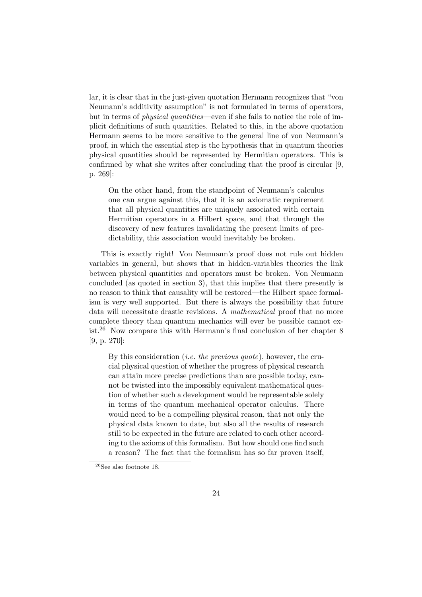lar, it is clear that in the just-given quotation Hermann recognizes that "von Neumann's additivity assumption" is not formulated in terms of operators, but in terms of *physical quantities*—even if she fails to notice the role of implicit definitions of such quantities. Related to this, in the above quotation Hermann seems to be more sensitive to the general line of von Neumann's proof, in which the essential step is the hypothesis that in quantum theories physical quantities should be represented by Hermitian operators. This is confirmed by what she writes after concluding that the proof is circular [9, p. 269]:

On the other hand, from the standpoint of Neumann's calculus one can argue against this, that it is an axiomatic requirement that all physical quantities are uniquely associated with certain Hermitian operators in a Hilbert space, and that through the discovery of new features invalidating the present limits of predictability, this association would inevitably be broken.

This is exactly right! Von Neumann's proof does not rule out hidden variables in general, but shows that in hidden-variables theories the link between physical quantities and operators must be broken. Von Neumann concluded (as quoted in section 3), that this implies that there presently is no reason to think that causality will be restored—the Hilbert space formalism is very well supported. But there is always the possibility that future data will necessitate drastic revisions. A mathematical proof that no more complete theory than quantum mechanics will ever be possible cannot exist.<sup>26</sup> Now compare this with Hermann's final conclusion of her chapter 8 [9, p. 270]:

By this consideration *(i.e. the previous quote)*, however, the crucial physical question of whether the progress of physical research can attain more precise predictions than are possible today, cannot be twisted into the impossibly equivalent mathematical question of whether such a development would be representable solely in terms of the quantum mechanical operator calculus. There would need to be a compelling physical reason, that not only the physical data known to date, but also all the results of research still to be expected in the future are related to each other according to the axioms of this formalism. But how should one find such a reason? The fact that the formalism has so far proven itself,

 $^{26}\rm{See}$  also footnote 18.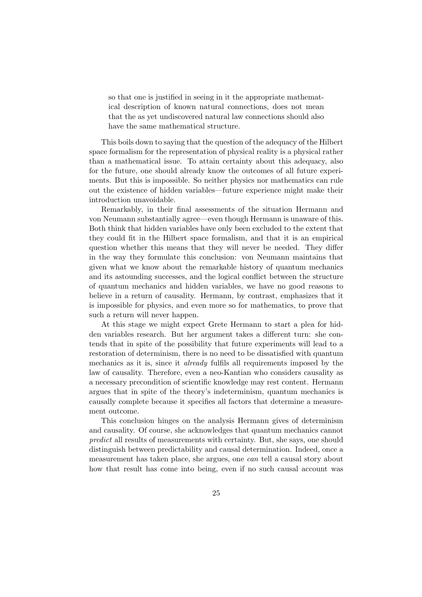so that one is justified in seeing in it the appropriate mathematical description of known natural connections, does not mean that the as yet undiscovered natural law connections should also have the same mathematical structure.

This boils down to saying that the question of the adequacy of the Hilbert space formalism for the representation of physical reality is a physical rather than a mathematical issue. To attain certainty about this adequacy, also for the future, one should already know the outcomes of all future experiments. But this is impossible. So neither physics nor mathematics can rule out the existence of hidden variables—future experience might make their introduction unavoidable.

Remarkably, in their final assessments of the situation Hermann and von Neumann substantially agree—even though Hermann is unaware of this. Both think that hidden variables have only been excluded to the extent that they could fit in the Hilbert space formalism, and that it is an empirical question whether this means that they will never be needed. They differ in the way they formulate this conclusion: von Neumann maintains that given what we know about the remarkable history of quantum mechanics and its astounding successes, and the logical conflict between the structure of quantum mechanics and hidden variables, we have no good reasons to believe in a return of causality. Hermann, by contrast, emphasizes that it is impossible for physics, and even more so for mathematics, to prove that such a return will never happen.

At this stage we might expect Grete Hermann to start a plea for hidden variables research. But her argument takes a different turn: she contends that in spite of the possibility that future experiments will lead to a restoration of determinism, there is no need to be dissatisfied with quantum mechanics as it is, since it already fulfils all requirements imposed by the law of causality. Therefore, even a neo-Kantian who considers causality as a necessary precondition of scientific knowledge may rest content. Hermann argues that in spite of the theory's indeterminism, quantum mechanics is causally complete because it specifies all factors that determine a measurement outcome.

This conclusion hinges on the analysis Hermann gives of determinism and causality. Of course, she acknowledges that quantum mechanics cannot predict all results of measurements with certainty. But, she says, one should distinguish between predictability and causal determination. Indeed, once a measurement has taken place, she argues, one can tell a causal story about how that result has come into being, even if no such causal account was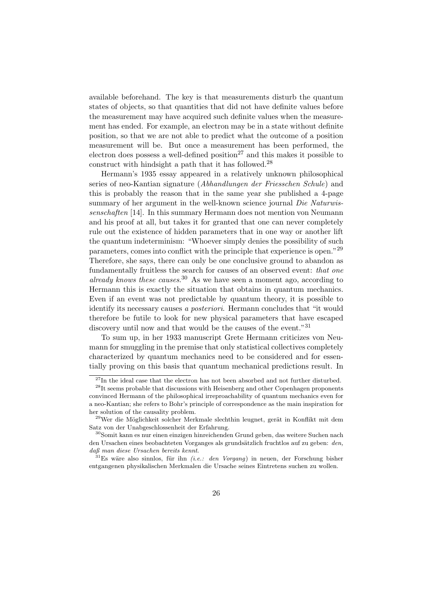available beforehand. The key is that measurements disturb the quantum states of objects, so that quantities that did not have definite values before the measurement may have acquired such definite values when the measurement has ended. For example, an electron may be in a state without definite position, so that we are not able to predict what the outcome of a position measurement will be. But once a measurement has been performed, the electron does possess a well-defined position<sup>27</sup> and this makes it possible to construct with hindsight a path that it has followed.<sup>28</sup>

Hermann's 1935 essay appeared in a relatively unknown philosophical series of neo-Kantian signature (Abhandlungen der Friesschen Schule) and this is probably the reason that in the same year she published a 4-page summary of her argument in the well-known science journal Die Naturwissenschaften [14]. In this summary Hermann does not mention von Neumann and his proof at all, but takes it for granted that one can never completely rule out the existence of hidden parameters that in one way or another lift the quantum indeterminism: "Whoever simply denies the possibility of such parameters, comes into conflict with the principle that experience is open."<sup>29</sup> Therefore, she says, there can only be one conclusive ground to abandon as fundamentally fruitless the search for causes of an observed event: that one already knows these causes.<sup>30</sup> As we have seen a moment ago, according to Hermann this is exactly the situation that obtains in quantum mechanics. Even if an event was not predictable by quantum theory, it is possible to identify its necessary causes a posteriori. Hermann concludes that "it would therefore be futile to look for new physical parameters that have escaped discovery until now and that would be the causes of the event."<sup>31</sup>

To sum up, in her 1933 manuscript Grete Hermann criticizes von Neumann for smuggling in the premise that only statistical collectives completely characterized by quantum mechanics need to be considered and for essentially proving on this basis that quantum mechanical predictions result. In

 $27$ In the ideal case that the electron has not been absorbed and not further disturbed.

<sup>&</sup>lt;sup>28</sup>It seems probable that discussions with Heisenberg and other Copenhagen proponents convinced Hermann of the philosophical irreproachability of quantum mechanics even for a neo-Kantian; she refers to Bohr's principle of correspondence as the main inspiration for her solution of the causality problem.

<sup>&</sup>lt;sup>29</sup>Wer die Möglichkeit solcher Merkmale slechthin leugnet, gerät in Konflikt mit dem Satz von der Unabgeschlossenheit der Erfahrung.

<sup>30</sup>Somit kann es nur einen einzigen hinreichenden Grund geben, das weitere Suchen nach den Ursachen eines beobachteten Vorganges als grundsätzlich fruchtlos auf zu geben: den, daß man diese Ursachen bereits kennt.

 $31$ Es wäre also sinnlos, für ihn *(i.e.: den Vorgang)* in neuen, der Forschung bisher entgangenen physikalischen Merkmalen die Ursache seines Eintretens suchen zu wollen.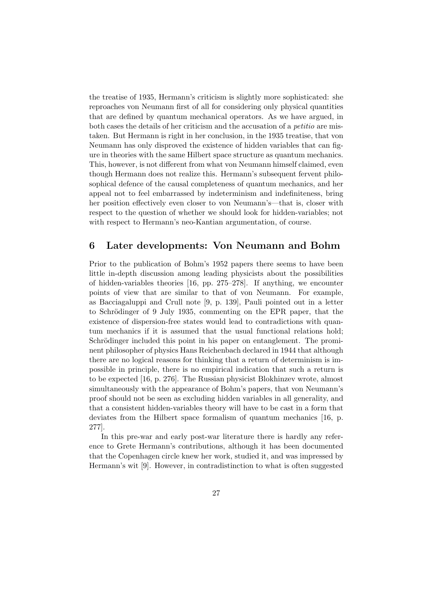the treatise of 1935, Hermann's criticism is slightly more sophisticated: she reproaches von Neumann first of all for considering only physical quantities that are defined by quantum mechanical operators. As we have argued, in both cases the details of her criticism and the accusation of a petitio are mistaken. But Hermann is right in her conclusion, in the 1935 treatise, that von Neumann has only disproved the existence of hidden variables that can figure in theories with the same Hilbert space structure as quantum mechanics. This, however, is not different from what von Neumann himself claimed, even though Hermann does not realize this. Hermann's subsequent fervent philosophical defence of the causal completeness of quantum mechanics, and her appeal not to feel embarrassed by indeterminism and indefiniteness, bring her position effectively even closer to von Neumann's—that is, closer with respect to the question of whether we should look for hidden-variables; not with respect to Hermann's neo-Kantian argumentation, of course.

#### 6 Later developments: Von Neumann and Bohm

Prior to the publication of Bohm's 1952 papers there seems to have been little in-depth discussion among leading physicists about the possibilities of hidden-variables theories [16, pp. 275–278]. If anything, we encounter points of view that are similar to that of von Neumann. For example, as Bacciagaluppi and Crull note [9, p. 139], Pauli pointed out in a letter to Schrödinger of 9 July 1935, commenting on the EPR paper, that the existence of dispersion-free states would lead to contradictions with quantum mechanics if it is assumed that the usual functional relations hold; Schrödinger included this point in his paper on entanglement. The prominent philosopher of physics Hans Reichenbach declared in 1944 that although there are no logical reasons for thinking that a return of determinism is impossible in principle, there is no empirical indication that such a return is to be expected [16, p. 276]. The Russian physicist Blokhinzev wrote, almost simultaneously with the appearance of Bohm's papers, that von Neumann's proof should not be seen as excluding hidden variables in all generality, and that a consistent hidden-variables theory will have to be cast in a form that deviates from the Hilbert space formalism of quantum mechanics [16, p. 277].

In this pre-war and early post-war literature there is hardly any reference to Grete Hermann's contributions, although it has been documented that the Copenhagen circle knew her work, studied it, and was impressed by Hermann's wit [9]. However, in contradistinction to what is often suggested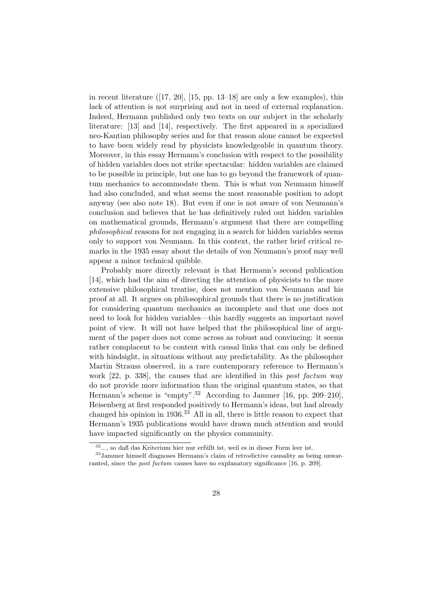in recent literature  $(17, 20]$ ,  $[15, pp. 13-18]$  are only a few examples), this lack of attention is not surprising and not in need of external explanation. Indeed, Hermann published only two texts on our subject in the scholarly literature: [13] and [14], respectively. The first appeared in a specialized neo-Kantian philosophy series and for that reason alone cannot be expected to have been widely read by physicists knowledgeable in quantum theory. Moreover, in this essay Hermann's conclusion with respect to the possibility of hidden variables does not strike spectacular: hidden variables are claimed to be possible in principle, but one has to go beyond the framework of quantum mechanics to accommodate them. This is what von Neumann himself had also concluded, and what seems the most reasonable position to adopt anyway (see also note 18). But even if one is not aware of von Neumann's conclusion and believes that he has definitively ruled out hidden variables on mathematical grounds, Hermann's argument that there are compelling philosophical reasons for not engaging in a search for hidden variables seems only to support von Neumann. In this context, the rather brief critical remarks in the 1935 essay about the details of von Neumann's proof may well appear a minor technical quibble.

Probably more directly relevant is that Hermann's second publication [14], which had the aim of directing the attention of physicists to the more extensive philosophical treatise, does not mention von Neumann and his proof at all. It argues on philosophical grounds that there is no justification for considering quantum mechanics as incomplete and that one does not need to look for hidden variables—this hardly suggests an important novel point of view. It will not have helped that the philosophical line of argument of the paper does not come across as robust and convincing: it seems rather complacent to be content with causal links that can only be defined with hindsight, in situations without any predictability. As the philosopher Martin Strauss observed, in a rare contemporary reference to Hermann's work [22, p. 338], the causes that are identified in this *post factum* way do not provide more information than the original quantum states, so that Hermann's scheme is "empty".<sup>32</sup> According to Jammer [16, pp. 209–210], Heisenberg at first responded positively to Hermann's ideas, but had already changed his opinion in 1936.<sup>33</sup> All in all, there is little reason to expect that Hermann's 1935 publications would have drawn much attention and would have impacted significantly on the physics community.

 $32...$ , so daß das Kriterium hier nur erfüllt ist, weil es in dieser Form leer ist.

<sup>33</sup>Jammer himself diagnoses Hermann's claim of retrodictive causality as being unwarranted, since the post factum causes have no explanatory significance [16, p. 209].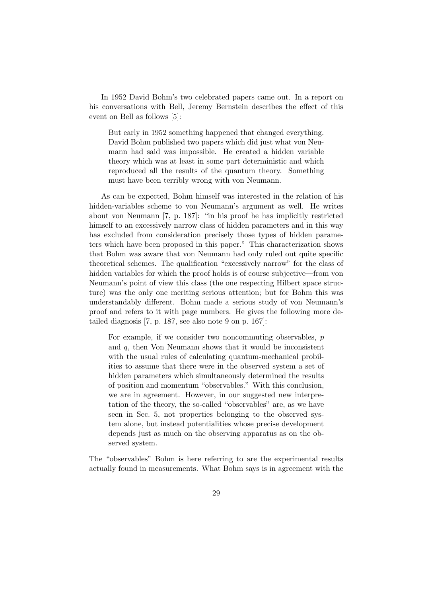In 1952 David Bohm's two celebrated papers came out. In a report on his conversations with Bell, Jeremy Bernstein describes the effect of this event on Bell as follows [5]:

But early in 1952 something happened that changed everything. David Bohm published two papers which did just what von Neumann had said was impossible. He created a hidden variable theory which was at least in some part deterministic and which reproduced all the results of the quantum theory. Something must have been terribly wrong with von Neumann.

As can be expected, Bohm himself was interested in the relation of his hidden-variables scheme to von Neumann's argument as well. He writes about von Neumann [7, p. 187]: "in his proof he has implicitly restricted himself to an excessively narrow class of hidden parameters and in this way has excluded from consideration precisely those types of hidden parameters which have been proposed in this paper." This characterization shows that Bohm was aware that von Neumann had only ruled out quite specific theoretical schemes. The qualification "excessively narrow" for the class of hidden variables for which the proof holds is of course subjective—from von Neumann's point of view this class (the one respecting Hilbert space structure) was the only one meriting serious attention; but for Bohm this was understandably different. Bohm made a serious study of von Neumann's proof and refers to it with page numbers. He gives the following more detailed diagnosis [7, p. 187, see also note 9 on p. 167]:

For example, if we consider two noncommuting observables, p and  $q$ , then Von Neumann shows that it would be inconsistent with the usual rules of calculating quantum-mechanical probilities to assume that there were in the observed system a set of hidden parameters which simultaneously determined the results of position and momentum "observables." With this conclusion, we are in agreement. However, in our suggested new interpretation of the theory, the so-called "observables" are, as we have seen in Sec. 5, not properties belonging to the observed system alone, but instead potentialities whose precise development depends just as much on the observing apparatus as on the observed system.

The "observables" Bohm is here referring to are the experimental results actually found in measurements. What Bohm says is in agreement with the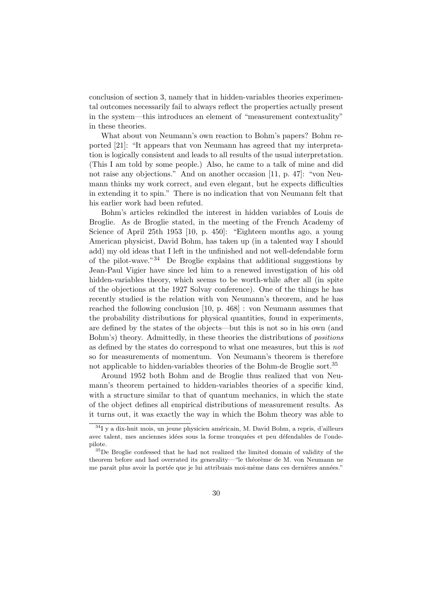conclusion of section 3, namely that in hidden-variables theories experimental outcomes necessarily fail to always reflect the properties actually present in the system—this introduces an element of "measurement contextuality" in these theories.

What about von Neumann's own reaction to Bohm's papers? Bohm reported [21]: "It appears that von Neumann has agreed that my interpretation is logically consistent and leads to all results of the usual interpretation. (This I am told by some people.) Also, he came to a talk of mine and did not raise any objections." And on another occasion [11, p. 47]: "von Neumann thinks my work correct, and even elegant, but he expects difficulties in extending it to spin." There is no indication that von Neumann felt that his earlier work had been refuted.

Bohm's articles rekindled the interest in hidden variables of Louis de Broglie. As de Broglie stated, in the meeting of the French Academy of Science of April 25th 1953 [10, p. 450]: "Eighteen months ago, a young American physicist, David Bohm, has taken up (in a talented way I should add) my old ideas that I left in the unfinished and not well-defendable form of the pilot-wave."<sup>34</sup> De Broglie explains that additional suggestions by Jean-Paul Vigier have since led him to a renewed investigation of his old hidden-variables theory, which seems to be worth-while after all (in spite of the objections at the 1927 Solvay conference). One of the things he has recently studied is the relation with von Neumann's theorem, and he has reached the following conclusion [10, p. 468] : von Neumann assumes that the probability distributions for physical quantities, found in experiments, are defined by the states of the objects—but this is not so in his own (and Bohm's) theory. Admittedly, in these theories the distributions of positions as defined by the states do correspond to what one measures, but this is not so for measurements of momentum. Von Neumann's theorem is therefore not applicable to hidden-variables theories of the Bohm-de Broglie sort.<sup>35</sup>

Around 1952 both Bohm and de Broglie thus realized that von Neumann's theorem pertained to hidden-variables theories of a specific kind, with a structure similar to that of quantum mechanics, in which the state of the object defines all empirical distributions of measurement results. As it turns out, it was exactly the way in which the Bohm theory was able to

 $34$ I y a dix-huit mois, un jeune physicien américain, M. David Bohm, a repris, d'ailleurs avec talent, mes anciennes idées sous la forme tronquées et peu défendables de l'ondepilote.

<sup>35</sup>De Broglie confessed that he had not realized the limited domain of validity of the theorem before and had overrated its generality—"le théorème de M. von Neumann ne me paraît plus avoir la portée que je lui attribuais moi-même dans ces dernières années."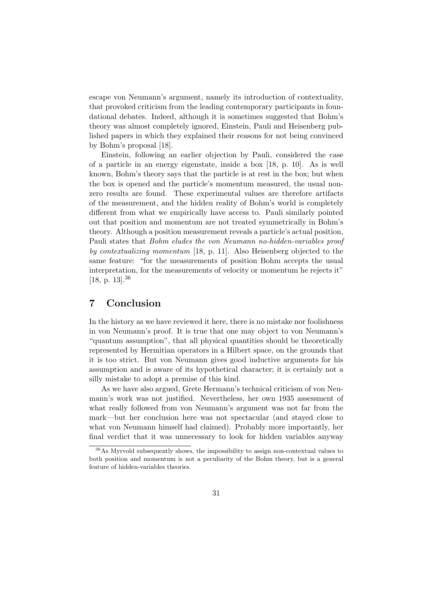escape von Neumann's argument, namely its introduction of contextuality, that provoked criticism from the leading contemporary participants in foundational debates. Indeed, although it is sometimes suggested that Bohm's theory was almost completely ignored, Einstein, Pauli and Heisenberg published papers in which they explained their reasons for not being convinced by Bohm's proposal [18].

Einstein, following an earlier objection by Pauli, considered the case of a particle in an energy eigenstate, inside a box [18, p. 10]. As is well known, Bohm's theory says that the particle is at rest in the box; but when the box is opened and the particle's momentum measured, the usual nonzero results are found. These experimental values are therefore artifacts of the measurement, and the hidden reality of Bohm's world is completely different from what we empirically have access to. Pauli similarly pointed out that position and momentum are not treated symmetrically in Bohm's theory. Although a position measurement reveals a particle's actual position, Pauli states that Bohm eludes the von Neumann no-hidden-variables proof by contextualizing momentum [18, p. 11]. Also Heisenberg objected to the same feature: "for the measurements of position Bohm accepts the usual interpretation, for the measurements of velocity or momentum he rejects it" [18, p. 13].<sup>36</sup>

#### 7 Conclusion

In the history as we have reviewed it here, there is no mistake nor foolishness in von Neumann's proof. It is true that one may object to von Neumann's "quantum assumption", that all physical quantities should be theoretically represented by Hermitian operators in a Hilbert space, on the grounds that it is too strict. But von Neumann gives good inductive arguments for his assumption and is aware of its hypothetical character; it is certainly not a silly mistake to adopt a premise of this kind.

As we have also argued, Grete Hermann's technical criticism of von Neumann's work was not justified. Nevertheless, her own 1935 assessment of what really followed from von Neumann's argument was not far from the mark—but her conclusion here was not spectacular (and stayed close to what von Neumann himself had claimed). Probably more importantly, her final verdict that it was unnecessary to look for hidden variables anyway

<sup>36</sup>As Myrvold subsequently shows, the impossibility to assign non-contextual values to both position and momentum is not a peculiarity of the Bohm theory, but is a general feature of hidden-variables theories.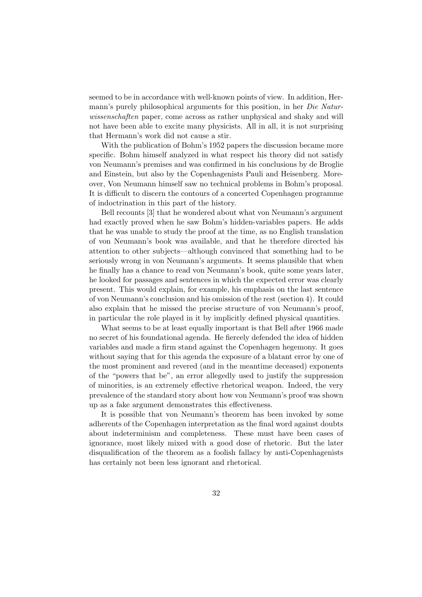seemed to be in accordance with well-known points of view. In addition, Hermann's purely philosophical arguments for this position, in her Die Naturwissenschaften paper, come across as rather unphysical and shaky and will not have been able to excite many physicists. All in all, it is not surprising that Hermann's work did not cause a stir.

With the publication of Bohm's 1952 papers the discussion became more specific. Bohm himself analyzed in what respect his theory did not satisfy von Neumann's premises and was confirmed in his conclusions by de Broglie and Einstein, but also by the Copenhagenists Pauli and Heisenberg. Moreover, Von Neumann himself saw no technical problems in Bohm's proposal. It is difficult to discern the contours of a concerted Copenhagen programme of indoctrination in this part of the history.

Bell recounts [3] that he wondered about what von Neumann's argument had exactly proved when he saw Bohm's hidden-variables papers. He adds that he was unable to study the proof at the time, as no English translation of von Neumann's book was available, and that he therefore directed his attention to other subjects—although convinced that something had to be seriously wrong in von Neumann's arguments. It seems plausible that when he finally has a chance to read von Neumann's book, quite some years later, he looked for passages and sentences in which the expected error was clearly present. This would explain, for example, his emphasis on the last sentence of von Neumann's conclusion and his omission of the rest (section 4). It could also explain that he missed the precise structure of von Neumann's proof, in particular the role played in it by implicitly defined physical quantities.

What seems to be at least equally important is that Bell after 1966 made no secret of his foundational agenda. He fiercely defended the idea of hidden variables and made a firm stand against the Copenhagen hegemony. It goes without saying that for this agenda the exposure of a blatant error by one of the most prominent and revered (and in the meantime deceased) exponents of the "powers that be", an error allegedly used to justify the suppression of minorities, is an extremely effective rhetorical weapon. Indeed, the very prevalence of the standard story about how von Neumann's proof was shown up as a fake argument demonstrates this effectiveness.

It is possible that von Neumann's theorem has been invoked by some adherents of the Copenhagen interpretation as the final word against doubts about indeterminism and completeness. These must have been cases of ignorance, most likely mixed with a good dose of rhetoric. But the later disqualification of the theorem as a foolish fallacy by anti-Copenhagenists has certainly not been less ignorant and rhetorical.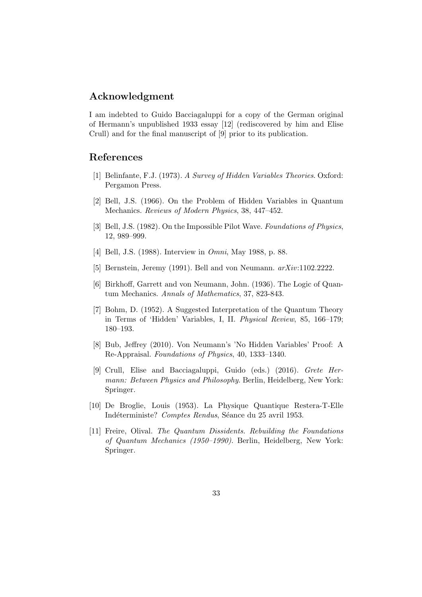### Acknowledgment

I am indebted to Guido Bacciagaluppi for a copy of the German original of Hermann's unpublished 1933 essay [12] (rediscovered by him and Elise Crull) and for the final manuscript of [9] prior to its publication.

#### References

- [1] Belinfante, F.J. (1973). A Survey of Hidden Variables Theories. Oxford: Pergamon Press.
- [2] Bell, J.S. (1966). On the Problem of Hidden Variables in Quantum Mechanics. Reviews of Modern Physics, 38, 447–452.
- [3] Bell, J.S. (1982). On the Impossible Pilot Wave. Foundations of Physics, 12, 989–999.
- [4] Bell, J.S. (1988). Interview in Omni, May 1988, p. 88.
- [5] Bernstein, Jeremy (1991). Bell and von Neumann. arXiv:1102.2222.
- [6] Birkhoff, Garrett and von Neumann, John. (1936). The Logic of Quantum Mechanics. Annals of Mathematics, 37, 823-843.
- [7] Bohm, D. (1952). A Suggested Interpretation of the Quantum Theory in Terms of 'Hidden' Variables, I, II. Physical Review, 85, 166–179; 180–193.
- [8] Bub, Jeffrey (2010). Von Neumann's 'No Hidden Variables' Proof: A Re-Appraisal. Foundations of Physics, 40, 1333–1340.
- [9] Crull, Elise and Bacciagaluppi, Guido (eds.) (2016). Grete Hermann: Between Physics and Philosophy. Berlin, Heidelberg, New York: Springer.
- [10] De Broglie, Louis (1953). La Physique Quantique Restera-T-Elle Indéterministe? Comptes Rendus, Séance du 25 avril 1953.
- [11] Freire, Olival. The Quantum Dissidents. Rebuilding the Foundations of Quantum Mechanics (1950–1990). Berlin, Heidelberg, New York: Springer.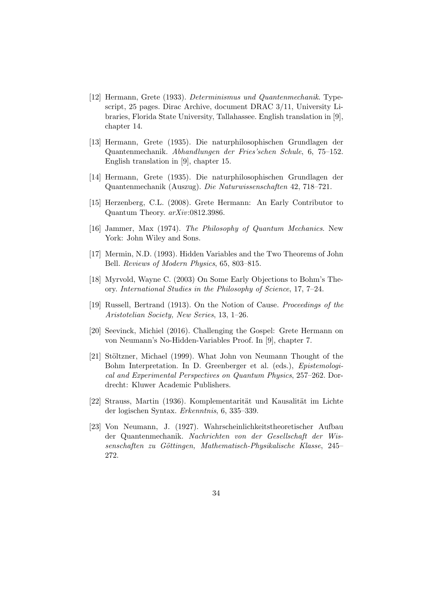- [12] Hermann, Grete (1933). Determinismus und Quantenmechanik. Typescript, 25 pages. Dirac Archive, document DRAC 3/11, University Libraries, Florida State University, Tallahassee. English translation in [9], chapter 14.
- [13] Hermann, Grete (1935). Die naturphilosophischen Grundlagen der Quantenmechanik. Abhandlungen der Fries'schen Schule, 6, 75–152. English translation in [9], chapter 15.
- [14] Hermann, Grete (1935). Die naturphilosophischen Grundlagen der Quantenmechanik (Auszug). Die Naturwissenschaften 42, 718–721.
- [15] Herzenberg, C.L. (2008). Grete Hermann: An Early Contributor to Quantum Theory. arXiv:0812.3986.
- [16] Jammer, Max (1974). The Philosophy of Quantum Mechanics. New York: John Wiley and Sons.
- [17] Mermin, N.D. (1993). Hidden Variables and the Two Theorems of John Bell. Reviews of Modern Physics, 65, 803–815.
- [18] Myrvold, Wayne C. (2003) On Some Early Objections to Bohm's Theory. International Studies in the Philosophy of Science, 17, 7–24.
- [19] Russell, Bertrand (1913). On the Notion of Cause. Proceedings of the Aristotelian Society, New Series, 13, 1–26.
- [20] Seevinck, Michiel (2016). Challenging the Gospel: Grete Hermann on von Neumann's No-Hidden-Variables Proof. In [9], chapter 7.
- [21] Stöltzner, Michael (1999). What John von Neumann Thought of the Bohm Interpretation. In D. Greenberger et al. (eds.), Epistemological and Experimental Perspectives on Quantum Physics, 257–262. Dordrecht: Kluwer Academic Publishers.
- [22] Strauss, Martin (1936). Komplementarität und Kausalität im Lichte der logischen Syntax. Erkenntnis, 6, 335–339.
- [23] Von Neumann, J. (1927). Wahrscheinlichkeitstheoretischer Aufbau der Quantenmechanik. Nachrichten von der Gesellschaft der Wissenschaften zu Göttingen, Mathematisch-Physikalische Klasse, 245– 272.